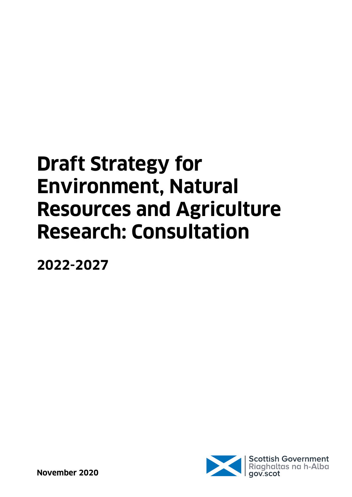# **Draft Strategy for Environment, Natural Resources and Agriculture Research: Consultation**

**2022-2027**

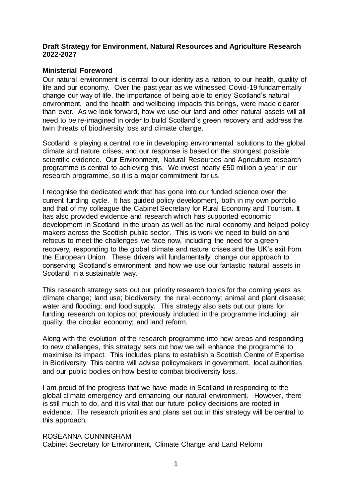#### **Draft Strategy for Environment, Natural Resources and Agriculture Research 2022-2027**

#### **Ministerial Foreword**

Our natural environment is central to our identity as a nation, to our health, quality of life and our economy. Over the past year as we witnessed Covid-19 fundamentally change our way of life, the importance of being able to enjoy Scotland's natural environment, and the health and wellbeing impacts this brings, were made clearer than ever. As we look forward, how we use our land and other natural assets will all need to be re-imagined in order to build Scotland's green recovery and address the twin threats of biodiversity loss and climate change.

Scotland is playing a central role in developing environmental solutions to the global climate and nature crises, and our response is based on the strongest possible scientific evidence. Our Environment, Natural Resources and Agriculture research programme is central to achieving this. We invest nearly £50 million a year in our research programme, so it is a major commitment for us.

I recognise the dedicated work that has gone into our funded science over the current funding cycle. It has guided policy development, both in my own portfolio and that of my colleague the Cabinet Secretary for Rural Economy and Tourism. It has also provided evidence and research which has supported economic development in Scotland in the urban as well as the rural economy and helped policy makers across the Scottish public sector. This is work we need to build on and refocus to meet the challenges we face now, including the need for a green recovery, responding to the global climate and nature crises and the UK's exit from the European Union. These drivers will fundamentally change our approach to conserving Scotland's environment and how we use our fantastic natural assets in Scotland in a sustainable way.

This research strategy sets out our priority research topics for the coming years as climate change; land use; biodiversity; the rural economy; animal and plant disease; water and flooding; and food supply. This strategy also sets out our plans for funding research on topics not previously included in the programme including: air quality; the circular economy; and land reform.

Along with the evolution of the research programme into new areas and responding to new challenges, this strategy sets out how we will enhance the programme to maximise its impact. This includes plans to establish a Scottish Centre of Expertise in Biodiversity. This centre will advise policymakers in government, local authorities and our public bodies on how best to combat biodiversity loss.

I am proud of the progress that we have made in Scotland in responding to the global climate emergency and enhancing our natural environment. However, there is still much to do, and it is vital that our future policy decisions are rooted in evidence. The research priorities and plans set out in this strategy will be central to this approach.

#### ROSEANNA CUNNINGHAM

Cabinet Secretary for Environment, Climate Change and Land Reform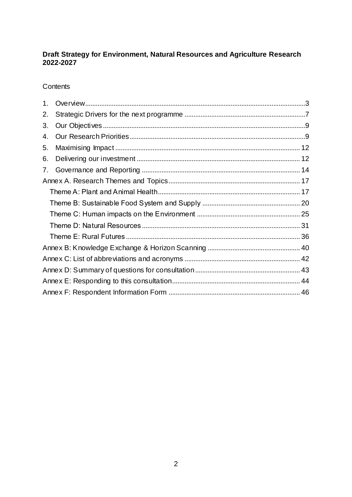# Draft Strategy for Environment, Natural Resources and Agriculture Research<br>2022-2027

Contents

| 1. |  |  |  |  |
|----|--|--|--|--|
| 2. |  |  |  |  |
| 3. |  |  |  |  |
| 4. |  |  |  |  |
| 5. |  |  |  |  |
| 6. |  |  |  |  |
| 7. |  |  |  |  |
|    |  |  |  |  |
|    |  |  |  |  |
|    |  |  |  |  |
|    |  |  |  |  |
|    |  |  |  |  |
|    |  |  |  |  |
|    |  |  |  |  |
|    |  |  |  |  |
|    |  |  |  |  |
|    |  |  |  |  |
|    |  |  |  |  |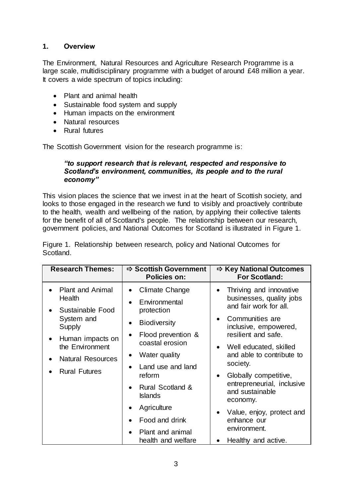# <span id="page-3-0"></span>**1. Overview**

The Environment, Natural Resources and Agriculture Research Programme is a large scale, multidisciplinary programme with a budget of around £48 million a year. It covers a wide spectrum of topics including:

- Plant and animal health
- Sustainable food system and supply
- Human impacts on the environment
- Natural resources
- Rural futures

The Scottish Government vision for the research programme is:

#### *"to support research that is relevant, respected and responsive to Scotland's environment, communities, its people and to the rural economy"*

This vision places the science that we invest in at the heart of Scottish society, and looks to those engaged in the research we fund to visibly and proactively contribute to the health, wealth and wellbeing of the nation, by applying their collective talents for the benefit of all of Scotland's people. The relationship between our research, government policies, and National Outcomes for Scotland is illustrated in Figure 1.

Figure 1. Relationship between research, policy and National Outcomes for Scotland.

| <b>Research Themes:</b>                                                                                                                                                               | <b>⇒ Scottish Government</b><br><b>Policies on:</b>                                                                                                                                                                                                                  | $\Rightarrow$ Key National Outcomes<br><b>For Scotland:</b>                                                                                                                                                                                                                                                                         |
|---------------------------------------------------------------------------------------------------------------------------------------------------------------------------------------|----------------------------------------------------------------------------------------------------------------------------------------------------------------------------------------------------------------------------------------------------------------------|-------------------------------------------------------------------------------------------------------------------------------------------------------------------------------------------------------------------------------------------------------------------------------------------------------------------------------------|
| <b>Plant and Animal</b><br>Health<br>Sustainable Food<br>System and<br>Supply<br>Human impacts on<br>$\bullet$<br>the Environment<br><b>Natural Resources</b><br><b>Rural Futures</b> | Climate Change<br>Environmental<br>protection<br><b>Biodiversity</b><br>Flood prevention &<br>$\bullet$<br>coastal erosion<br>Water quality<br>$\bullet$<br>Land use and land<br>$\bullet$<br>reform<br><b>Rural Scotland &amp;</b><br><b>Islands</b><br>Agriculture | Thriving and innovative<br>businesses, quality jobs<br>and fair work for all.<br>Communities are<br>$\bullet$<br>inclusive, empowered,<br>resilient and safe.<br>Well educated, skilled<br>and able to contribute to<br>society.<br>Globally competitive,<br>$\bullet$<br>entrepreneurial, inclusive<br>and sustainable<br>economy. |
|                                                                                                                                                                                       | Food and drink                                                                                                                                                                                                                                                       | Value, enjoy, protect and<br>enhance our                                                                                                                                                                                                                                                                                            |
|                                                                                                                                                                                       | Plant and animal                                                                                                                                                                                                                                                     | environment.                                                                                                                                                                                                                                                                                                                        |
|                                                                                                                                                                                       | health and welfare                                                                                                                                                                                                                                                   | Healthy and active.                                                                                                                                                                                                                                                                                                                 |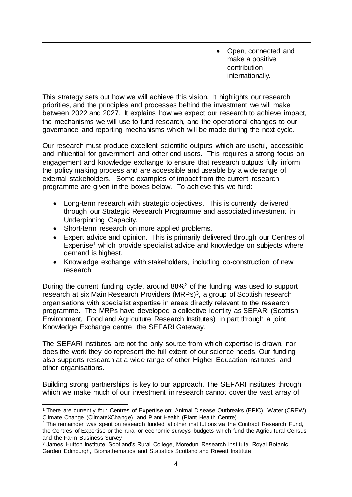|--|

This strategy sets out how we will achieve this vision. It highlights our research priorities, and the principles and processes behind the investment we will make between 2022 and 2027. It explains how we expect our research to achieve impact, the mechanisms we will use to fund research, and the operational changes to our governance and reporting mechanisms which will be made during the next cycle.

Our research must produce excellent scientific outputs which are useful, accessible and influential for government and other end users. This requires a strong focus on engagement and knowledge exchange to ensure that research outputs fully inform the policy making process and are accessible and useable by a wide range of external stakeholders. Some examples of impact from the current research programme are given in the boxes below. To achieve this we fund:

- Long-term research with strategic objectives. This is currently delivered through our Strategic Research Programme and associated investment in Underpinning Capacity.
- Short-term research on more applied problems.
- Expert advice and opinion. This is primarily delivered through our Centres of  $Expected$ <sup>1</sup> which provide specialist advice and knowledge on subjects where demand is highest.
- Knowledge exchange with stakeholders, including co-construction of new research.

During the current funding cycle, around 88%<sup>2</sup> of the funding was used to support research at six Main Research Providers (MRPs) $3$ , a group of Scottish research organisations with specialist expertise in areas directly relevant to the research programme. The MRPs have developed a collective identity as SEFARI (Scottish Environment, Food and Agriculture Research Institutes) in part through a joint Knowledge Exchange centre, the SEFARI Gateway.

The SEFARI institutes are not the only source from which expertise is drawn, nor does the work they do represent the full extent of our science needs. Our funding also supports research at a wide range of other Higher Education Institutes and other organisations.

Building strong partnerships is key to our approach. The SEFARI institutes through which we make much of our investment in research cannot cover the vast array of

l <sup>1</sup> There are currently four Centres of Expertise on: Animal Disease Outbreaks (EPIC), Water (CREW), Climate Change (ClimateXChange) and Plant Health (Plant Health Centre).

<sup>&</sup>lt;sup>2</sup> The remainder was spent on research funded at other institutions via the Contract Research Fund, the Centres of Expertise or the rural or economic surveys budgets which fund the Agricultural Census and the Farm Business Survey.

<sup>3</sup> James Hutton Institute, Scotland's Rural College, Moredun Research Institute, Royal Botanic Garden Edinburgh, Biomathematics and Statistics Scotland and Rowett Institute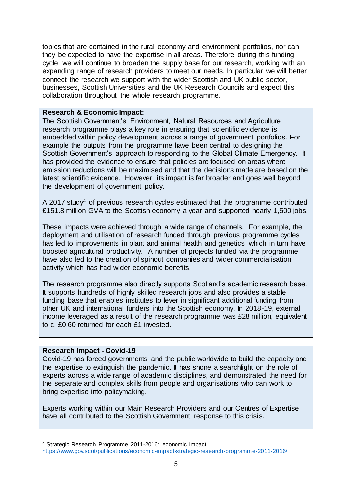topics that are contained in the rural economy and environment portfolios, nor can they be expected to have the expertise in all areas. Therefore during this funding cycle, we will continue to broaden the supply base for our research, working with an expanding range of research providers to meet our needs. In particular we will better connect the research we support with the wider Scottish and UK public sector, businesses, Scottish Universities and the UK Research Councils and expect this collaboration throughout the whole research programme.

#### **Research & Economic Impact:**

The Scottish Government's Environment, Natural Resources and Agriculture research programme plays a key role in ensuring that scientific evidence is embedded within policy development across a range of government portfolios. For example the outputs from the programme have been central to designing the Scottish Government's approach to responding to the Global Climate Emergency. It has provided the evidence to ensure that policies are focused on areas where emission reductions will be maximised and that the decisions made are based on the latest scientific evidence. However, its impact is far broader and goes well beyond the development of government policy.

A 2017 study<sup>4</sup> of previous research cycles estimated that the programme contributed £151.8 million GVA to the Scottish economy a year and supported nearly 1,500 jobs.

These impacts were achieved through a wide range of channels. For example, the deployment and utilisation of research funded through previous programme cycles has led to improvements in plant and animal health and genetics, which in turn have boosted agricultural productivity. A number of projects funded via the programme have also led to the creation of spinout companies and wider commercialisation activity which has had wider economic benefits.

The research programme also directly supports Scotland's academic research base. It supports hundreds of highly skilled research jobs and also provides a stable funding base that enables institutes to lever in significant additional funding from other UK and international funders into the Scottish economy. In 2018-19, external income leveraged as a result of the research programme was £28 million, equivalent to c. £0.60 returned for each £1 invested.

## **Research Impact - Covid-19**

 $\overline{a}$ 

Covid-19 has forced governments and the public worldwide to build the capacity and the expertise to extinguish the pandemic. It has shone a searchlight on the role of experts across a wide range of academic disciplines, and demonstrated the need for the separate and complex skills from people and organisations who can work to bring expertise into policymaking.

Experts working within our Main Research Providers and our Centres of Expertise have all contributed to the Scottish Government response to this crisis.

<sup>4</sup> Strategic Research Programme 2011-2016: economic impact. <https://www.gov.scot/publications/economic-impact-strategic-research-programme-2011-2016/>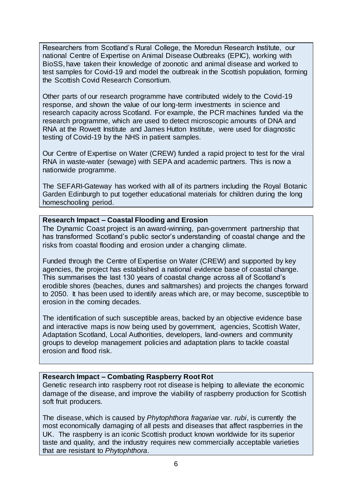Researchers from Scotland's Rural College, the Moredun Research Institute, our national Centre of Expertise on Animal Disease Outbreaks (EPIC), working with BioSS, have taken their knowledge of zoonotic and animal disease and worked to test samples for Covid-19 and model the outbreak in the Scottish population, forming the Scottish Covid Research Consortium.

Other parts of our research programme have contributed widely to the Covid-19 response, and shown the value of our long-term investments in science and research capacity across Scotland. For example, the PCR machines funded via the research programme, which are used to detect microscopic amounts of DNA and RNA at the Rowett Institute and James Hutton Institute, were used for diagnostic testing of Covid-19 by the NHS in patient samples.

Our Centre of Expertise on Water (CREW) funded a rapid project to test for the viral RNA in waste-water (sewage) with SEPA and academic partners. This is now a nationwide programme.

The SEFARI-Gateway has worked with all of its partners including the Royal Botanic Garden Edinburgh to put together educational materials for children during the long homeschooling period.

# **Research Impact – Coastal Flooding and Erosion**

The Dynamic Coast project is an award-winning, pan-government partnership that has transformed Scotland's public sector's understanding of coastal change and the risks from coastal flooding and erosion under a changing climate.

Funded through the Centre of Expertise on Water (CREW) and supported by key agencies, the project has established a national evidence base of coastal change. This summarises the last 130 years of coastal change across all of Scotland's erodible shores (beaches, dunes and saltmarshes) and projects the changes forward to 2050. It has been used to identify areas which are, or may become, susceptible to erosion in the coming decades.

The identification of such susceptible areas, backed by an objective evidence base and interactive maps is now being used by government, agencies, Scottish Water, Adaptation Scotland, Local Authorities, developers, land-owners and community groups to develop management policies and adaptation plans to tackle coastal erosion and flood risk.

# **Research Impact – Combating Raspberry Root Rot**

Genetic research into raspberry root rot disease is helping to alleviate the economic damage of the disease, and improve the viability of raspberry production for Scottish soft fruit producers.

The disease, which is caused by *Phytophthora fragariae* var. *rubi*, is currently the most economically damaging of all pests and diseases that affect raspberries in the UK. The raspberry is an iconic Scottish product known worldwide for its superior taste and quality, and the industry requires new commercially acceptable varieties that are resistant to *Phytophthora*.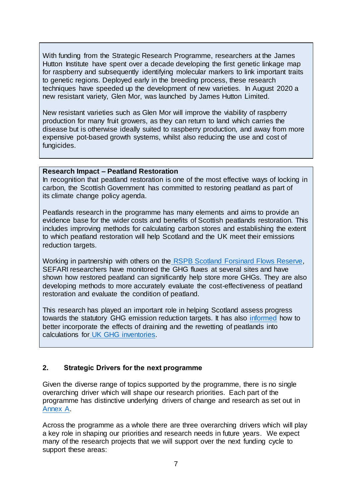With funding from the Strategic Research Programme, researchers at the James Hutton Institute have spent over a decade developing the first genetic linkage map for raspberry and subsequently identifying molecular markers to link important traits to genetic regions. Deployed early in the breeding process, these research techniques have speeded up the development of new varieties. In August 2020 a new resistant variety, Glen Mor, was launched by James Hutton Limited.

New resistant varieties such as Glen Mor will improve the viability of raspberry production for many fruit growers, as they can return to land which carries the disease but is otherwise ideally suited to raspberry production, and away from more expensive pot-based growth systems, whilst also reducing the use and cost of fungicides.

## **Research Impact – Peatland Restoration**

In recognition that peatland restoration is one of the most effective ways of locking in carbon, the Scottish Government has committed to restoring peatland as part of its climate change policy agenda.

Peatlands research in the programme has many elements and aims to provide an evidence base for the wider costs and benefits of Scottish peatlands restoration. This includes improving methods for calculating carbon stores and establishing the extent to which peatland restoration will help Scotland and the UK meet their emissions reduction targets.

Working in partnership with others on the [RSPB Scotland Forsinard Flows Reserve,](https://www.rspb.org.uk/reserves-and-events/reserves-a-z/forsinard-flows) SEFARI researchers have monitored the GHG fluxes at several sites and have shown how restored peatland can significantly help store more GHGs. They are also developing methods to more accurately evaluate the cost-effectiveness of peatland restoration and evaluate the condition of peatland.

This research has played an important role in helping Scotland assess progress towards the statutory GHG emission reduction targets. It has also [informed](https://www.climatexchange.org.uk/media/1493/ipcc_summary_feb2015_ra_2.pdf) how to better incorporate the effects of draining and the rewetting of peatlands into calculations for [UK GHG inventories.](http://naei.beis.gov.uk/reports/reports?section_id=3)

# <span id="page-7-0"></span>**2. Strategic Drivers for the next programme**

Given the diverse range of topics supported by the programme, there is no single overarching driver which will shape our research priorities. Each part of the programme has distinctive underlying drivers of change and research as set out in [Annex A.](#page-17-0)

Across the programme as a whole there are three overarching drivers which will play a key role in shaping our priorities and research needs in future years. We expect many of the research projects that we will support over the next funding cycle to support these areas: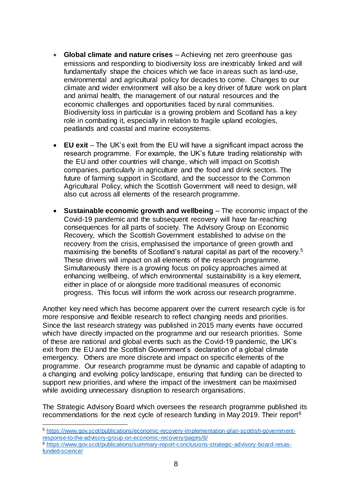- **Global climate and nature crises** Achieving net zero greenhouse gas emissions and responding to biodiversity loss are inextricably linked and will fundamentally shape the choices which we face in areas such as land-use, environmental and agricultural policy for decades to come. Changes to our climate and wider environment will also be a key driver of future work on plant and animal health, the management of our natural resources and the economic challenges and opportunities faced by rural communities. Biodiversity loss in particular is a growing problem and Scotland has a key role in combating it, especially in relation to fragile upland ecologies, peatlands and coastal and marine ecosystems.
- **EU exit** The UK's exit from the EU will have a significant impact across the research programme. For example, the UK's future trading relationship with the EU and other countries will change, which will impact on Scottish companies, particularly in agriculture and the food and drink sectors. The future of farming support in Scotland, and the successor to the Common Agricultural Policy, which the Scottish Government will need to design, will also cut across all elements of the research programme.
- **Sustainable economic growth and wellbeing** The economic impact of the Covid-19 pandemic and the subsequent recovery will have far-reaching consequences for all parts of society. The Advisory Group on Economic Recovery, which the Scottish Government established to advise on the recovery from the crisis, emphasised the importance of green growth and maximising the benefits of Scotland's natural capital as part of the recovery.<sup>5</sup> These drivers will impact on all elements of the research programme. Simultaneously there is a growing focus on policy approaches aimed at enhancing wellbeing, of which environmental sustainability is a key element, either in place of or alongside more traditional measures of economic progress. This focus will inform the work across our research programme.

Another key need which has become apparent over the current research cycle is for more responsive and flexible research to reflect changing needs and priorities. Since the last research strategy was published in 2015 many events have occurred which have directly impacted on the programme and our research priorities. Some of these are national and global events such as the Covid-19 pandemic, the UK's exit from the EU and the Scottish Government's declaration of a global climate emergency. Others are more discrete and impact on specific elements of the programme. Our research programme must be dynamic and capable of adapting to a changing and evolving policy landscape, ensuring that funding can be directed to support new priorities, and where the impact of the investment can be maximised while avoiding unnecessary disruption to research organisations.

The Strategic Advisory Board which oversees the research programme published its recommendations for the next cycle of research funding in May 2019. Their report<sup>6</sup>

 $\overline{a}$ 

<sup>5</sup> [https://www.gov.scot/publications/economic-recovery-implementation-plan-scottish-government](https://www.gov.scot/publications/economic-recovery-implementation-plan-scottish-government-response-to-the-advisory-group-on-economic-recovery/pages/6/)[response-to-the-advisory-group-on-economic-recovery/pages/6/](https://www.gov.scot/publications/economic-recovery-implementation-plan-scottish-government-response-to-the-advisory-group-on-economic-recovery/pages/6/)

<sup>6</sup> [https://www.gov.scot/publications/summary-report-conclusions-strategic-advisory-board-resas](https://www.gov.scot/publications/summary-report-conclusions-strategic-advisory-board-resas-funded-science/)[funded-science/](https://www.gov.scot/publications/summary-report-conclusions-strategic-advisory-board-resas-funded-science/)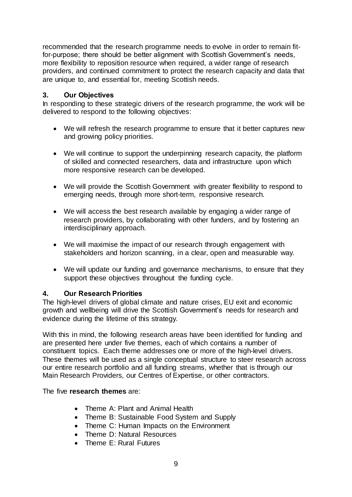recommended that the research programme needs to evolve in order to remain fitfor-purpose; there should be better alignment with Scottish Government's needs, more flexibility to reposition resource when required, a wider range of research providers, and continued commitment to protect the research capacity and data that are unique to, and essential for, meeting Scottish needs.

# <span id="page-9-0"></span>**3. Our Objectives**

In responding to these strategic drivers of the research programme, the work will be delivered to respond to the following objectives:

- We will refresh the research programme to ensure that it better captures new and growing policy priorities.
- We will continue to support the underpinning research capacity, the platform of skilled and connected researchers, data and infrastructure upon which more responsive research can be developed.
- We will provide the Scottish Government with greater flexibility to respond to emerging needs, through more short-term, responsive research.
- We will access the best research available by engaging a wider range of research providers, by collaborating with other funders, and by fostering an interdisciplinary approach.
- We will maximise the impact of our research through engagement with stakeholders and horizon scanning, in a clear, open and measurable way.
- We will update our funding and governance mechanisms, to ensure that they support these objectives throughout the funding cycle.

# <span id="page-9-1"></span>**4. Our Research Priorities**

The high-level drivers of global climate and nature crises, EU exit and economic growth and wellbeing will drive the Scottish Government's needs for research and evidence during the lifetime of this strategy.

With this in mind, the following research areas have been identified for funding and are presented here under five themes, each of which contains a number of constituent topics. Each theme addresses one or more of the high-level drivers. These themes will be used as a single conceptual structure to steer research across our entire research portfolio and all funding streams, whether that is through our Main Research Providers, our Centres of Expertise, or other contractors.

# The five **research themes** are:

- Theme A: Plant and Animal Health
- Theme B: Sustainable Food System and Supply
- Theme C: Human Impacts on the Environment
- Theme D: Natural Resources
- Theme E: Rural Futures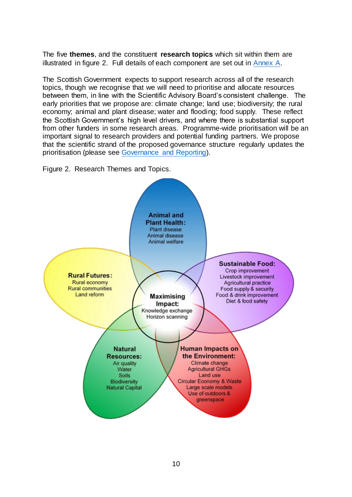The five **themes**, and the constituent **research topics** which sit within them are illustrated in figure 2. Full details of each component are set out in [Annex A.](#page-17-0)

The Scottish Government expects to support research across all of the research topics, though we recognise that we will need to prioritise and allocate resources between them, in line with the Scientific Advisory Board's consistent challenge. The early priorities that we propose are: climate change; land use; biodiversity; the rural economy; animal and plant disease; water and flooding; food supply. These reflect the Scottish Government's high level drivers, and where there is substantial support from other funders in some research areas. Programme-wide prioritisation will be an important signal to research providers and potential funding partners. We propose that the scientific strand of the proposed governance structure regularly updates the prioritisation (please see [Governance and Reporting\)](#page-14-0).

Figure 2. Research Themes and Topics.

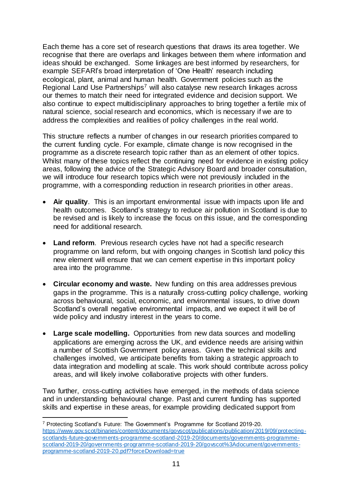Each theme has a core set of research questions that draws its area together. We recognise that there are overlaps and linkages between them where information and ideas should be exchanged. Some linkages are best informed by researchers, for example SEFARI's broad interpretation of 'One Health' research including ecological, plant, animal and human health. Government policies such as the Regional Land Use Partnerships<sup>7</sup> will also catalyse new research linkages across our themes to match their need for integrated evidence and decision support. We also continue to expect multidisciplinary approaches to bring together a fertile mix of natural science, social research and economics, which is necessary if we are to address the complexities and realities of policy challenges in the real world.

This structure reflects a number of changes in our research priorities compared to the current funding cycle. For example, climate change is now recognised in the programme as a discrete research topic rather than as an element of other topics. Whilst many of these topics reflect the continuing need for evidence in existing policy areas, following the advice of the Strategic Advisory Board and broader consultation, we will introduce four research topics which were not previously included in the programme, with a corresponding reduction in research priorities in other areas.

- **Air quality**. This is an important environmental issue with impacts upon life and health outcomes. Scotland's strategy to reduce air pollution in Scotland is due to be revised and is likely to increase the focus on this issue, and the corresponding need for additional research.
- **Land reform**. Previous research cycles have not had a specific research programme on land reform, but with ongoing changes in Scottish land policy this new element will ensure that we can cement expertise in this important policy area into the programme.
- **Circular economy and waste.** New funding on this area addresses previous gaps in the programme. This is a naturally cross-cutting policy challenge, working across behavioural, social, economic, and environmental issues, to drive down Scotland's overall negative environmental impacts, and we expect it will be of wide policy and industry interest in the years to come.
- **Large scale modelling.** Opportunities from new data sources and modelling applications are emerging across the UK, and evidence needs are arising within a number of Scottish Government policy areas. Given the technical skills and challenges involved, we anticipate benefits from taking a strategic approach to data integration and modelling at scale. This work should contribute across policy areas, and will likely involve collaborative projects with other funders.

Two further, cross-cutting activities have emerged, in the methods of data science and in understanding behavioural change. Past and current funding has supported skills and expertise in these areas, for example providing dedicated support from

l

<sup>7</sup> Protecting Scotland's Future: The Government's Programme for Scotland 2019-20. [https://www.gov.scot/binaries/content/documents/govscot/publications/publication/2019/09/protecting](https://www.gov.scot/binaries/content/documents/govscot/publications/publication/2019/09/protecting-scotlands-future-governments-programme-scotland-2019-20/documents/governments-programme-scotland-2019-20/governments-programme-scotland-2019-20/govscot%3Adocument/governments-programme-scotland-2019-20.pdf?forceDownload=true)[scotlands-future-governments-programme-scotland-2019-20/documents/governments-programme](https://www.gov.scot/binaries/content/documents/govscot/publications/publication/2019/09/protecting-scotlands-future-governments-programme-scotland-2019-20/documents/governments-programme-scotland-2019-20/governments-programme-scotland-2019-20/govscot%3Adocument/governments-programme-scotland-2019-20.pdf?forceDownload=true)[scotland-2019-20/governments-programme-scotland-2019-20/govscot%3Adocument/governments](https://www.gov.scot/binaries/content/documents/govscot/publications/publication/2019/09/protecting-scotlands-future-governments-programme-scotland-2019-20/documents/governments-programme-scotland-2019-20/governments-programme-scotland-2019-20/govscot%3Adocument/governments-programme-scotland-2019-20.pdf?forceDownload=true)[programme-scotland-2019-20.pdf?forceDownload=true](https://www.gov.scot/binaries/content/documents/govscot/publications/publication/2019/09/protecting-scotlands-future-governments-programme-scotland-2019-20/documents/governments-programme-scotland-2019-20/governments-programme-scotland-2019-20/govscot%3Adocument/governments-programme-scotland-2019-20.pdf?forceDownload=true)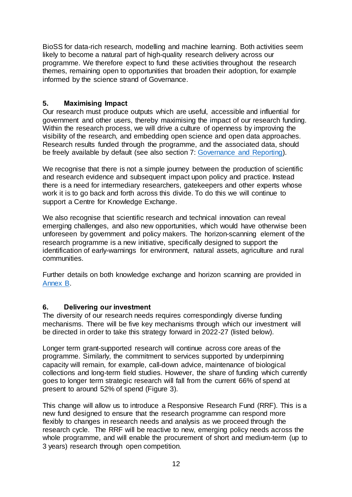BioSS for data-rich research, modelling and machine learning. Both activities seem likely to become a natural part of high-quality research delivery across our programme. We therefore expect to fund these activities throughout the research themes, remaining open to opportunities that broaden their adoption, for example informed by the science strand of Governance.

# <span id="page-12-0"></span>**5. Maximising Impact**

Our research must produce outputs which are useful, accessible and influential for government and other users, thereby maximising the impact of our research funding. Within the research process, we will drive a culture of openness by improving the visibility of the research, and embedding open science and open data approaches. Research results funded through the programme, and the associated data, should be freely available by default (see also section 7: [Governance and Reporting\)](#page-14-0).

We recognise that there is not a simple journey between the production of scientific and research evidence and subsequent impact upon policy and practice. Instead there is a need for intermediary researchers, gatekeepers and other experts whose work it is to go back and forth across this divide. To do this we will continue to support a Centre for Knowledge Exchange.

We also recognise that scientific research and technical innovation can reveal emerging challenges, and also new opportunities, which would have otherwise been unforeseen by government and policy makers. The horizon-scanning element of the research programme is a new initiative, specifically designed to support the identification of early-warnings for environment, natural assets, agriculture and rural communities.

Further details on both knowledge exchange and horizon scanning are provided in [Annex](#page-40-0) B.

# <span id="page-12-1"></span>**6. Delivering our investment**

The diversity of our research needs requires correspondingly diverse funding mechanisms. There will be five key mechanisms through which our investment will be directed in order to take this strategy forward in 2022-27 (listed below).

Longer term grant-supported research will continue across core areas of the programme. Similarly, the commitment to services supported by underpinning capacity will remain, for example, call-down advice, maintenance of biological collections and long-term field studies. However, the share of funding which currently goes to longer term strategic research will fall from the current 66% of spend at present to around 52% of spend (Figure 3).

This change will allow us to introduce a Responsive Research Fund (RRF). This is a new fund designed to ensure that the research programme can respond more flexibly to changes in research needs and analysis as we proceed through the research cycle. The RRF will be reactive to new, emerging policy needs across the whole programme, and will enable the procurement of short and medium-term (up to 3 years) research through open competition.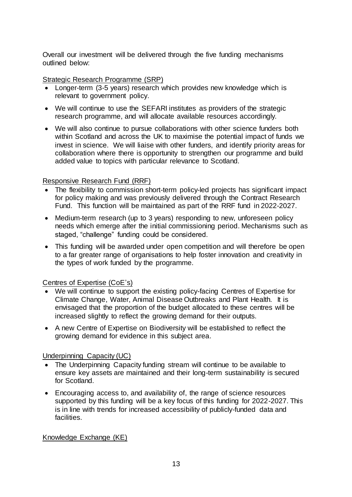Overall our investment will be delivered through the five funding mechanisms outlined below:

Strategic Research Programme (SRP)

- Longer-term (3-5 years) research which provides new knowledge which is relevant to government policy.
- We will continue to use the SEFARI institutes as providers of the strategic research programme, and will allocate available resources accordingly.
- We will also continue to pursue collaborations with other science funders both within Scotland and across the UK to maximise the potential impact of funds we invest in science. We will liaise with other funders, and identify priority areas for collaboration where there is opportunity to strengthen our programme and build added value to topics with particular relevance to Scotland.

# Responsive Research Fund (RRF)

- The flexibility to commission short-term policy-led projects has significant impact for policy making and was previously delivered through the Contract Research Fund. This function will be maintained as part of the RRF fund in 2022-2027.
- Medium-term research (up to 3 years) responding to new, unforeseen policy needs which emerge after the initial commissioning period. Mechanisms such as staged, "challenge" funding could be considered.
- This funding will be awarded under open competition and will therefore be open to a far greater range of organisations to help foster innovation and creativity in the types of work funded by the programme.

## Centres of Expertise (CoE's)

- We will continue to support the existing policy-facing Centres of Expertise for [Climate Change,](http://www.climatexchange.org.uk/) [Water,](http://www.crew.ac.uk/) [Animal Disease Outbreaks](http://epicscotland.org/) and [Plant Health.](https://www.planthealthcentre.scot/) It is envisaged that the proportion of the budget allocated to these centres will be increased slightly to reflect the growing demand for their outputs.
- A new Centre of Expertise on Biodiversity will be established to reflect the growing demand for evidence in this subject area.

# Underpinning Capacity (UC)

- The Underpinning Capacity funding stream will continue to be available to ensure key assets are maintained and their long-term sustainability is secured for Scotland.
- Encouraging access to, and availability of, the range of science resources supported by this funding will be a key focus of this funding for 2022-2027. This is in line with trends for increased accessibility of publicly-funded data and facilities.

# Knowledge Exchange (KE)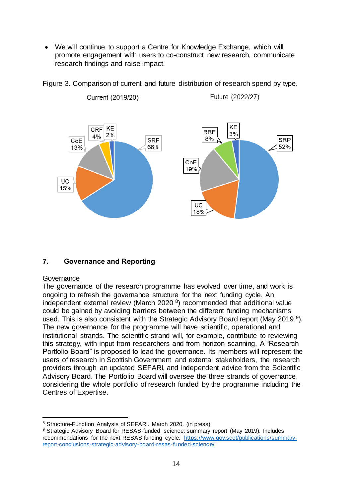• We will continue to support a Centre for Knowledge Exchange, which will promote engagement with users to co-construct new research, communicate research findings and raise impact.



Figure 3. Comparison of current and future distribution of research spend by type.

# <span id="page-14-0"></span>**7. Governance and Reporting**

#### Governance

l

The governance of the research programme has evolved over time, and work is ongoing to refresh the governance structure for the next funding cycle. An independent external review (March 2020 $8$ ) recommended that additional value could be gained by avoiding barriers between the different funding mechanisms used. This is also consistent with the Strategic Advisory Board report (May 2019<sup>9</sup>). The new governance for the programme will have scientific, operational and institutional strands. The scientific strand will, for example, contribute to reviewing this strategy, with input from researchers and from horizon scanning. A "Research Portfolio Board" is proposed to lead the governance. Its members will represent the users of research in Scottish Government and external stakeholders, the research providers through an updated SEFARI, and independent advice from the Scientific Advisory Board. The Portfolio Board will oversee the three strands of governance, considering the whole portfolio of research funded by the programme including the Centres of Expertise.

<sup>8</sup> Structure-Function Analysis of SEFARI. March 2020. (in press)

<sup>9</sup> Strategic Advisory Board for RESAS-funded science: summary report (May 2019). Includes recommendations for the next RESAS funding cycle. [https://www.gov.scot/publications/summary](https://www.gov.scot/publications/summary-report-conclusions-strategic-advisory-board-resas-funded-science/)[report-conclusions-strategic-advisory-board-resas-funded-science/](https://www.gov.scot/publications/summary-report-conclusions-strategic-advisory-board-resas-funded-science/)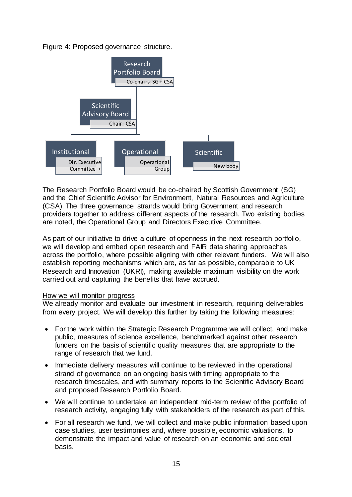Figure 4: Proposed governance structure.



The Research Portfolio Board would be co-chaired by Scottish Government (SG) and the Chief Scientific Advisor for Environment, Natural Resources and Agriculture (CSA). The three governance strands would bring Government and research providers together to address different aspects of the research. Two existing bodies are noted, the Operational Group and Directors Executive Committee.

As part of our initiative to drive a culture of openness in the next research portfolio, we will develop and embed open research and FAIR data sharing approaches across the portfolio, where possible aligning with other relevant funders. We will also establish reporting mechanisms which are, as far as possible, comparable to UK Research and Innovation (UKRI), making available maximum visibility on the work carried out and capturing the benefits that have accrued.

#### How we will monitor progress

We already monitor and evaluate our investment in research, requiring deliverables from every project. We will develop this further by taking the following measures:

- For the work within the Strategic Research Programme we will collect, and make public, measures of science excellence, benchmarked against other research funders on the basis of scientific quality measures that are appropriate to the range of research that we fund.
- Immediate delivery measures will continue to be reviewed in the operational strand of governance on an ongoing basis with timing appropriate to the research timescales, and with summary reports to the Scientific Advisory Board and proposed Research Portfolio Board.
- We will continue to undertake an independent mid-term review of the portfolio of research activity, engaging fully with stakeholders of the research as part of this.
- For all research we fund, we will collect and make public information based upon case studies, user testimonies and, where possible, economic valuations, to demonstrate the impact and value of research on an economic and societal basis.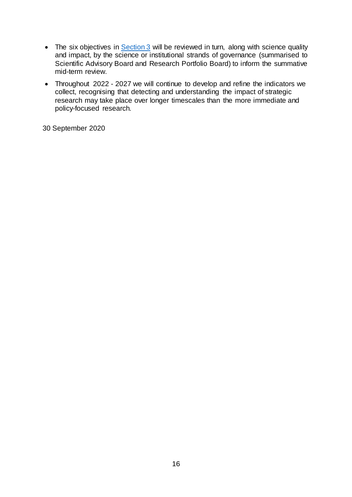- The six objectives in **Section 3** will be reviewed in turn, along with science quality and impact, by the science or institutional strands of governance (summarised to Scientific Advisory Board and Research Portfolio Board) to inform the summative mid-term review.
- Throughout 2022 2027 we will continue to develop and refine the indicators we collect, recognising that detecting and understanding the impact of strategic research may take place over longer timescales than the more immediate and policy-focused research.

30 September 2020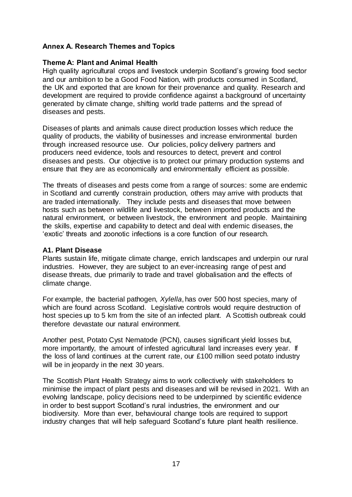# <span id="page-17-0"></span>**Annex A. Research Themes and Topics**

#### <span id="page-17-1"></span>**Theme A: Plant and Animal Health**

High quality agricultural crops and livestock underpin Scotland's growing food sector and our ambition to be a Good Food Nation, with products consumed in Scotland, the UK and exported that are known for their provenance and quality. Research and development are required to provide confidence against a background of uncertainty generated by climate change, shifting world trade patterns and the spread of diseases and pests.

Diseases of plants and animals cause direct production losses which reduce the quality of products, the viability of businesses and increase environmental burden through increased resource use. Our policies, policy delivery partners and producers need evidence, tools and resources to detect, prevent and control diseases and pests. Our objective is to protect our primary production systems and ensure that they are as economically and environmentally efficient as possible.

The threats of diseases and pests come from a range of sources: some are endemic in Scotland and currently constrain production, others may arrive with products that are traded internationally. They include pests and diseases that move between hosts such as between wildlife and livestock, between imported products and the natural environment, or between livestock, the environment and people. Maintaining the skills, expertise and capability to detect and deal with endemic diseases, the 'exotic' threats and zoonotic infections is a core function of our research.

#### **A1. Plant Disease**

Plants sustain life, mitigate climate change, enrich landscapes and underpin our rural industries. However, they are subject to an ever-increasing range of pest and disease threats, due primarily to trade and travel globalisation and the effects of climate change.

For example, the bacterial pathogen, *Xylella*, has over 500 host species, many of which are found across Scotland. Legislative controls would require destruction of host species up to 5 km from the site of an infected plant. A Scottish outbreak could therefore devastate our natural environment.

Another pest, Potato Cyst Nematode (PCN), causes significant yield losses but, more importantly, the amount of infested agricultural land increases every year. If the loss of land continues at the current rate, our £100 million seed potato industry will be in jeopardy in the next 30 years.

The Scottish Plant Health Strategy aims to work collectively with stakeholders to minimise the impact of plant pests and diseases and will be revised in 2021. With an evolving landscape, policy decisions need to be underpinned by scientific evidence in order to best support Scotland's rural industries, the environment and our biodiversity. More than ever, behavioural change tools are required to support industry changes that will help safeguard Scotland's future plant health resilience.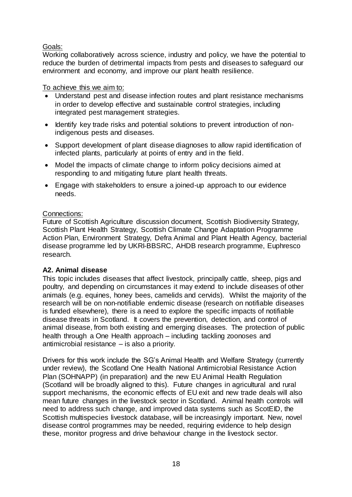# Goals:

Working collaboratively across science, industry and policy, we have the potential to reduce the burden of detrimental impacts from pests and diseases to safeguard our environment and economy, and improve our plant health resilience.

# To achieve this we aim to:

- Understand pest and disease infection routes and plant resistance mechanisms in order to develop effective and sustainable control strategies, including integrated pest management strategies.
- Identify key trade risks and potential solutions to prevent introduction of nonindigenous pests and diseases.
- Support development of plant disease diagnoses to allow rapid identification of infected plants, particularly at points of entry and in the field.
- Model the impacts of climate change to inform policy decisions aimed at responding to and mitigating future plant health threats.
- Engage with stakeholders to ensure a joined-up approach to our evidence needs.

# Connections:

Future of Scottish Agriculture discussion document, Scottish Biodiversity Strategy, Scottish Plant Health Strategy, Scottish Climate Change Adaptation Programme Action Plan, Environment Strategy, Defra Animal and Plant Health Agency, bacterial disease programme led by UKRI-BBSRC, AHDB research programme, Euphresco research.

# **A2. Animal disease**

This topic includes diseases that affect livestock, principally cattle, sheep, pigs and poultry, and depending on circumstances it may extend to include diseases of other animals (e.g. equines, honey bees, camelids and cervids). Whilst the majority of the research will be on non-notifiable endemic disease (research on notifiable diseases is funded elsewhere), there is a need to explore the specific impacts of notifiable disease threats in Scotland. It covers the prevention, detection, and control of animal disease, from both existing and emerging diseases. The protection of public health through a One Health approach – including tackling zoonoses and antimicrobial resistance – is also a priority.

Drivers for this work include the SG's Animal Health and Welfare Strategy (currently under review), the Scotland One Health National Antimicrobial Resistance Action Plan (SOHNAPP) (in preparation) and the new EU Animal Health Regulation (Scotland will be broadly aligned to this). Future changes in agricultural and rural support mechanisms, the economic effects of EU exit and new trade deals will also mean future changes in the livestock sector in Scotland. Animal health controls will need to address such change, and improved data systems such as ScotEID, the Scottish multispecies livestock database, will be increasingly important. New, novel disease control programmes may be needed, requiring evidence to help design these, monitor progress and drive behaviour change in the livestock sector.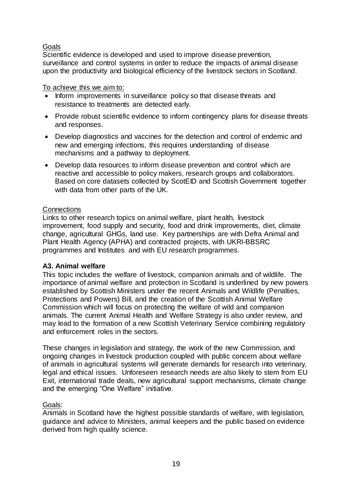# Goals

Scientific evidence is developed and used to improve disease prevention, surveillance and control systems in order to reduce the impacts of animal disease upon the productivity and biological efficiency of the livestock sectors in Scotland.

# To achieve this we aim to:

- Inform improvements in surveillance policy so that disease threats and resistance to treatments are detected early.
- Provide robust scientific evidence to inform contingency plans for disease threats and responses.
- Develop diagnostics and vaccines for the detection and control of endemic and new and emerging infections, this requires understanding of disease mechanisms and a pathway to deployment.
- Develop data resources to inform disease prevention and control which are reactive and accessible to policy makers, research groups and collaborators. Based on core datasets collected by ScotEID and Scottish Government together with data from other parts of the UK.

# **Connections**

Links to other research topics on animal welfare, plant health, livestock improvement, food supply and security, food and drink improvements, diet, climate change, agricultural GHGs, land use. Key partnerships are with Defra Animal and Plant Health Agency (APHA) and contracted projects, with UKRI-BBSRC programmes and Institutes and with EU research programmes.

# **A3. Animal welfare**

This topic includes the welfare of livestock, companion animals and of wildlife. The importance of animal welfare and protection in Scotland is underlined by new powers established by Scottish Ministers under the recent Animals and Wildlife (Penalties, Protections and Powers) Bill, and the creation of the Scottish Animal Welfare Commission which will focus on protecting the welfare of wild and companion animals. The current Animal Health and Welfare Strategy is also under review, and may lead to the formation of a new Scottish Veterinary Service combining regulatory and enforcement roles in the sectors.

These changes in legislation and strategy, the work of the new Commission, and ongoing changes in livestock production coupled with public concern about welfare of animals in agricultural systems will generate demands for research into veterinary, legal and ethical issues. Unforeseen research needs are also likely to stem from EU Exit, international trade deals, new agricultural support mechanisms, climate change and the emerging "One Welfare" initiative.

# Goals:

Animals in Scotland have the highest possible standards of welfare, with legislation, guidance and advice to Ministers, animal keepers and the public based on evidence derived from high quality science.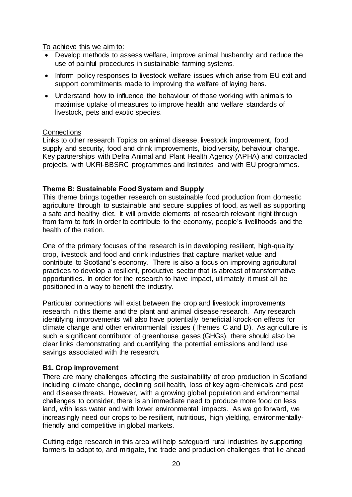To achieve this we aim to:

- Develop methods to assess welfare, improve animal husbandry and reduce the use of painful procedures in sustainable farming systems.
- Inform policy responses to livestock welfare issues which arise from EU exit and support commitments made to improving the welfare of laying hens.
- Understand how to influence the behaviour of those working with animals to maximise uptake of measures to improve health and welfare standards of livestock, pets and exotic species.

## **Connections**

Links to other research Topics on animal disease, livestock improvement, food supply and security, food and drink improvements, biodiversity, behaviour change. Key partnerships with Defra Animal and Plant Health Agency (APHA) and contracted projects, with UKRI-BBSRC programmes and Institutes and with EU programmes.

# <span id="page-20-0"></span>**Theme B: Sustainable Food System and Supply**

This theme brings together research on sustainable food production from domestic agriculture through to sustainable and secure supplies of food, as well as supporting a safe and healthy diet. It will provide elements of research relevant right through from farm to fork in order to contribute to the economy, people's livelihoods and the health of the nation.

One of the primary focuses of the research is in developing resilient, high-quality crop, livestock and food and drink industries that capture market value and contribute to Scotland's economy. There is also a focus on improving agricultural practices to develop a resilient, productive sector that is abreast of transformative opportunities. In order for the research to have impact, ultimately it must all be positioned in a way to benefit the industry.

Particular connections will exist between the crop and livestock improvements research in this theme and the plant and animal disease research. Any research identifying improvements will also have potentially beneficial knock-on effects for climate change and other environmental issues (Themes C and D). As agriculture is such a significant contributor of greenhouse gases (GHGs), there should also be clear links demonstrating and quantifying the potential emissions and land use savings associated with the research.

## **B1. Crop improvement**

There are many challenges affecting the sustainability of crop production in Scotland including climate change, declining soil health, loss of key agro-chemicals and pest and disease threats. However, with a growing global population and environmental challenges to consider, there is an immediate need to produce more food on less land, with less water and with lower environmental impacts. As we go forward, we increasingly need our crops to be resilient, nutritious, high yielding, environmentallyfriendly and competitive in global markets.

Cutting-edge research in this area will help safeguard rural industries by supporting farmers to adapt to, and mitigate, the trade and production challenges that lie ahead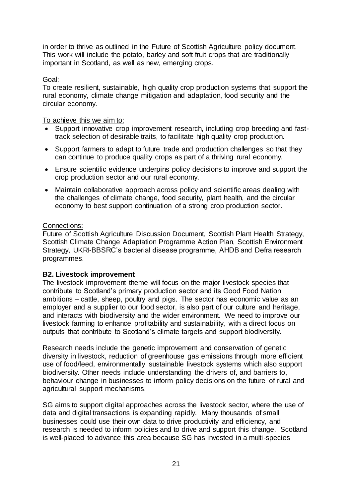in order to thrive as outlined in the Future of Scottish Agriculture policy document. This work will include the potato, barley and soft fruit crops that are traditionally important in Scotland, as well as new, emerging crops.

# Goal:

To create resilient, sustainable, high quality crop production systems that support the rural economy, climate change mitigation and adaptation, food security and the circular economy.

#### To achieve this we aim to:

- Support innovative crop improvement research, including crop breeding and fasttrack selection of desirable traits, to facilitate high quality crop production.
- Support farmers to adapt to future trade and production challenges so that they can continue to produce quality crops as part of a thriving rural economy.
- Ensure scientific evidence underpins policy decisions to improve and support the crop production sector and our rural economy.
- Maintain collaborative approach across policy and scientific areas dealing with the challenges of climate change, food security, plant health, and the circular economy to best support continuation of a strong crop production sector.

#### Connections:

Future of Scottish Agriculture Discussion Document, Scottish Plant Health Strategy, Scottish Climate Change Adaptation Programme Action Plan, Scottish Environment Strategy, UKRI-BBSRC's bacterial disease programme, AHDB and Defra research programmes.

## **B2. Livestock improvement**

The livestock improvement theme will focus on the major livestock species that contribute to Scotland's primary production sector and its Good Food Nation ambitions – cattle, sheep, poultry and pigs. The sector has economic value as an employer and a supplier to our food sector, is also part of our culture and heritage, and interacts with biodiversity and the wider environment. We need to improve our livestock farming to enhance profitability and sustainability, with a direct focus on outputs that contribute to Scotland's climate targets and support biodiversity.

Research needs include the genetic improvement and conservation of genetic diversity in livestock, reduction of greenhouse gas emissions through more efficient use of food/feed, environmentally sustainable livestock systems which also support biodiversity. Other needs include understanding the drivers of, and barriers to, behaviour change in businesses to inform policy decisions on the future of rural and agricultural support mechanisms.

SG aims to support digital approaches across the livestock sector, where the use of data and digital transactions is expanding rapidly. Many thousands of small businesses could use their own data to drive productivity and efficiency, and research is needed to inform policies and to drive and support this change. Scotland is well-placed to advance this area because SG has invested in a multi-species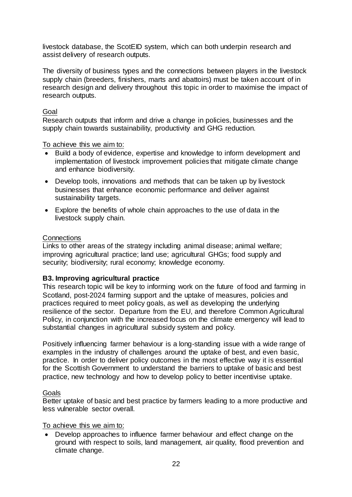livestock database, the ScotEID system, which can both underpin research and assist delivery of research outputs.

The diversity of business types and the connections between players in the livestock supply chain (breeders, finishers, marts and abattoirs) must be taken account of in research design and delivery throughout this topic in order to maximise the impact of research outputs.

# Goal

Research outputs that inform and drive a change in policies, businesses and the supply chain towards sustainability, productivity and GHG reduction.

To achieve this we aim to:

- Build a body of evidence, expertise and knowledge to inform development and implementation of livestock improvement policies that mitigate climate change and enhance biodiversity.
- Develop tools, innovations and methods that can be taken up by livestock businesses that enhance economic performance and deliver against sustainability targets.
- Explore the benefits of whole chain approaches to the use of data in the livestock supply chain.

## **Connections**

Links to other areas of the strategy including animal disease; animal welfare; improving agricultural practice; land use; agricultural GHGs; food supply and security; biodiversity; rural economy; knowledge economy.

## **B3. Improving agricultural practice**

This research topic will be key to informing work on the future of food and farming in Scotland, post-2024 farming support and the uptake of measures, policies and practices required to meet policy goals, as well as developing the underlying resilience of the sector. Departure from the EU, and therefore Common Agricultural Policy, in conjunction with the increased focus on the climate emergency will lead to substantial changes in agricultural subsidy system and policy.

Positively influencing farmer behaviour is a long-standing issue with a wide range of examples in the industry of challenges around the uptake of best, and even basic, practice. In order to deliver policy outcomes in the most effective way it is essential for the Scottish Government to understand the barriers to uptake of basic and best practice, new technology and how to develop policy to better incentivise uptake.

## Goals

Better uptake of basic and best practice by farmers leading to a more productive and less vulnerable sector overall.

## To achieve this we aim to:

 Develop approaches to influence farmer behaviour and effect change on the ground with respect to soils, land management, air quality, flood prevention and climate change.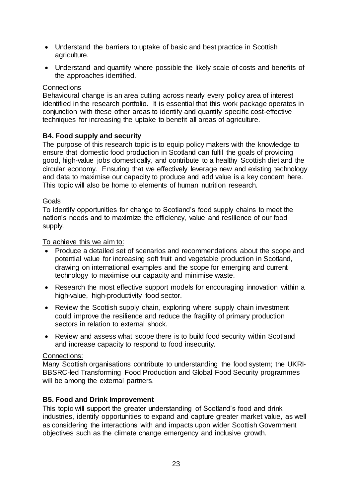- Understand the barriers to uptake of basic and best practice in Scottish agriculture.
- Understand and quantify where possible the likely scale of costs and benefits of the approaches identified.

# **Connections**

Behavioural change is an area cutting across nearly every policy area of interest identified in the research portfolio. It is essential that this work package operates in conjunction with these other areas to identify and quantify specific cost-effective techniques for increasing the uptake to benefit all areas of agriculture.

# **B4. Food supply and security**

The purpose of this research topic is to equip policy makers with the knowledge to ensure that domestic food production in Scotland can fulfil the goals of providing good, high-value jobs domestically, and contribute to a healthy Scottish diet and the circular economy. Ensuring that we effectively leverage new and existing technology and data to maximise our capacity to produce and add value is a key concern here. This topic will also be home to elements of human nutrition research.

# Goals

To identify opportunities for change to Scotland's food supply chains to meet the nation's needs and to maximize the efficiency, value and resilience of our food supply.

## To achieve this we aim to:

- Produce a detailed set of scenarios and recommendations about the scope and potential value for increasing soft fruit and vegetable production in Scotland, drawing on international examples and the scope for emerging and current technology to maximise our capacity and minimise waste.
- Research the most effective support models for encouraging innovation within a high-value, high-productivity food sector.
- Review the Scottish supply chain, exploring where supply chain investment could improve the resilience and reduce the fragility of primary production sectors in relation to external shock.
- Review and assess what scope there is to build food security within Scotland and increase capacity to respond to food insecurity.

## Connections:

Many Scottish organisations contribute to understanding the food system; the UKRI-BBSRC-led Transforming Food Production and Global Food Security programmes will be among the external partners.

## **B5. Food and Drink Improvement**

This topic will support the greater understanding of Scotland's food and drink industries, identify opportunities to expand and capture greater market value, as well as considering the interactions with and impacts upon wider Scottish Government objectives such as the climate change emergency and inclusive growth.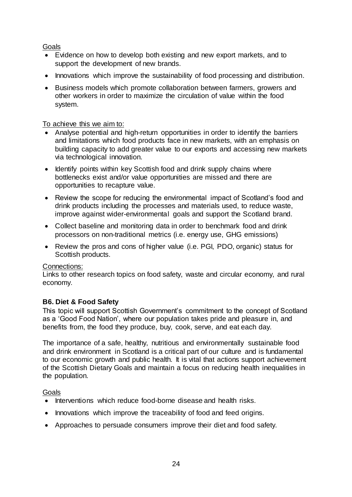# Goals

- Evidence on how to develop both existing and new export markets, and to support the development of new brands.
- Innovations which improve the sustainability of food processing and distribution.
- Business models which promote collaboration between farmers, growers and other workers in order to maximize the circulation of value within the food system.

# To achieve this we aim to:

- Analyse potential and high-return opportunities in order to identify the barriers and limitations which food products face in new markets, with an emphasis on building capacity to add greater value to our exports and accessing new markets via technological innovation.
- Identify points within key Scottish food and drink supply chains where bottlenecks exist and/or value opportunities are missed and there are opportunities to recapture value.
- Review the scope for reducing the environmental impact of Scotland's food and drink products including the processes and materials used, to reduce waste, improve against wider-environmental goals and support the Scotland brand.
- Collect baseline and monitoring data in order to benchmark food and drink processors on non-traditional metrics (i.e. energy use, GHG emissions)
- Review the pros and cons of higher value (i.e. PGI, PDO, organic) status for Scottish products.

## Connections:

Links to other research topics on food safety, waste and circular economy, and rural economy.

# **B6. Diet & Food Safety**

This topic will support Scottish Government's commitment to the concept of Scotland as a 'Good Food Nation', where our population takes pride and pleasure in, and benefits from, the food they produce, buy, cook, serve, and eat each day.

The importance of a safe, healthy, nutritious and environmentally sustainable food and drink environment in Scotland is a critical part of our culture and is fundamental to our economic growth and public health. It is vital that actions support achievement of the Scottish Dietary Goals and maintain a focus on reducing health inequalities in the population.

# Goals

- Interventions which reduce food-borne disease and health risks.
- Innovations which improve the traceability of food and feed origins.
- Approaches to persuade consumers improve their diet and food safety.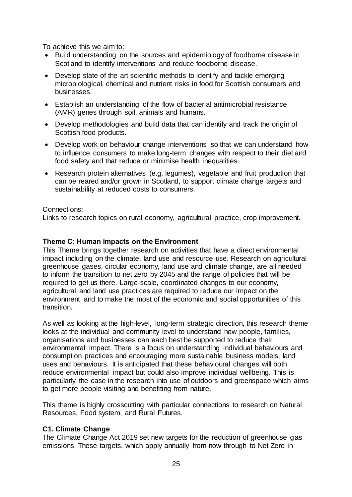To achieve this we aim to:

- Build understanding on the sources and epidemiology of foodborne disease in Scotland to identify interventions and reduce foodborne disease.
- Develop state of the art scientific methods to identify and tackle emerging microbiological, chemical and nutrient risks in food for Scottish consumers and businesses.
- Establish an understanding of the flow of bacterial antimicrobial resistance (AMR) genes through soil, animals and humans.
- Develop methodologies and build data that can identify and track the origin of Scottish food products.
- Develop work on behaviour change interventions so that we can understand how to influence consumers to make long-term changes with respect to their diet and food safety and that reduce or minimise health inequalities.
- Research protein alternatives (e.g. legumes), vegetable and fruit production that can be reared and/or grown in Scotland, to support climate change targets and sustainability at reduced costs to consumers.

# Connections:

Links to research topics on rural economy, agricultural practice, crop improvement.

# <span id="page-25-0"></span>**Theme C: Human impacts on the Environment**

This Theme brings together research on activities that have a direct environmental impact including on the climate, land use and resource use. Research on agricultural greenhouse gases, circular economy, land use and climate change, are all needed to inform the transition to net zero by 2045 and the range of policies that will be required to get us there. Large-scale, coordinated changes to our economy, agricultural and land use practices are required to reduce our impact on the environment and to make the most of the economic and social opportunities of this transition.

As well as looking at the high-level, long-term strategic direction, this research theme looks at the individual and community level to understand how people, families, organisations and businesses can each best be supported to reduce their environmental impact. There is a focus on understanding individual behaviours and consumption practices and encouraging more sustainable business models, land uses and behaviours. It is anticipated that these behavioural changes will both reduce environmental impact but could also improve individual wellbeing. This is particularly the case in the research into use of outdoors and greenspace which aims to get more people visiting and benefiting from nature.

This theme is highly crosscutting with particular connections to research on Natural Resources, Food system, and Rural Futures.

# **C1. Climate Change**

The Climate Change Act 2019 set new targets for the reduction of greenhouse gas emissions. These targets, which apply annually from now through to Net Zero in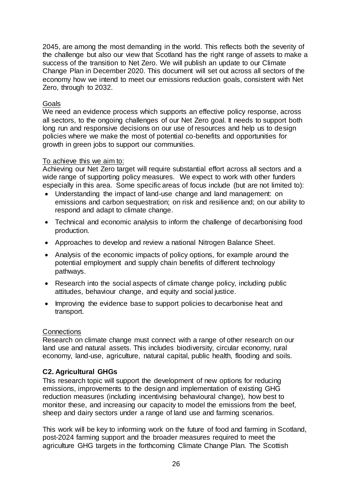2045, are among the most demanding in the world. This reflects both the severity of the challenge but also our view that Scotland has the right range of assets to make a success of the transition to Net Zero. We will publish an update to our Climate Change Plan in December 2020. This document will set out across all sectors of the economy how we intend to meet our emissions reduction goals, consistent with Net Zero, through to 2032.

#### Goals

We need an evidence process which supports an effective policy response, across all sectors, to the ongoing challenges of our Net Zero goal. It needs to support both long run and responsive decisions on our use of resources and help us to design policies where we make the most of potential co-benefits and opportunities for growth in green jobs to support our communities.

#### To achieve this we aim to:

Achieving our Net Zero target will require substantial effort across all sectors and a wide range of supporting policy measures. We expect to work with other funders especially in this area. Some specific areas of focus include (but are not limited to):

- Understanding the impact of land-use change and land management: on emissions and carbon sequestration; on risk and resilience and; on our ability to respond and adapt to climate change.
- Technical and economic analysis to inform the challenge of decarbonising food production.
- Approaches to develop and review a national Nitrogen Balance Sheet.
- Analysis of the economic impacts of policy options, for example around the potential employment and supply chain benefits of different technology pathways.
- Research into the social aspects of climate change policy, including public attitudes, behaviour change, and equity and social justice.
- Improving the evidence base to support policies to decarbonise heat and transport.

#### **Connections**

Research on climate change must connect with a range of other research on our land use and natural assets. This includes biodiversity, circular economy, rural economy, land-use, agriculture, natural capital, public health, flooding and soils.

## **C2. Agricultural GHGs**

This research topic will support the development of new options for reducing emissions, improvements to the design and implementation of existing GHG reduction measures (including incentivising behavioural change), how best to monitor these, and increasing our capacity to model the emissions from the beef, sheep and dairy sectors under a range of land use and farming scenarios.

This work will be key to informing work on the future of food and farming in Scotland, post-2024 farming support and the broader measures required to meet the agriculture GHG targets in the forthcoming Climate Change Plan. The Scottish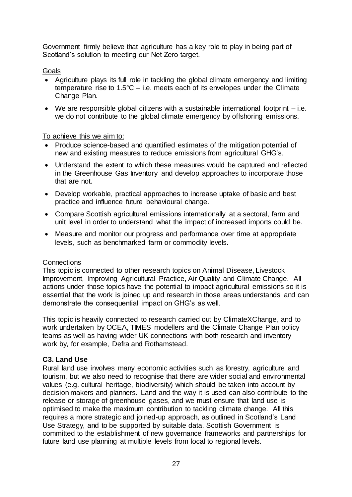Government firmly believe that agriculture has a key role to play in being part of Scotland's solution to meeting our Net Zero target.

Goals

- Agriculture plays its full role in tackling the global climate emergency and limiting temperature rise to  $1.5^{\circ}$ C – i.e. meets each of its envelopes under the Climate Change Plan.
- We are responsible global citizens with a sustainable international footprint i.e. we do not contribute to the global climate emergency by offshoring emissions.

To achieve this we aim to:

- Produce science-based and quantified estimates of the mitigation potential of new and existing measures to reduce emissions from agricultural GHG's.
- Understand the extent to which these measures would be captured and reflected in the Greenhouse Gas Inventory and develop approaches to incorporate those that are not.
- Develop workable, practical approaches to increase uptake of basic and best practice and influence future behavioural change.
- Compare Scottish agricultural emissions internationally at a sectoral, farm and unit level in order to understand what the impact of increased imports could be.
- Measure and monitor our progress and performance over time at appropriate levels, such as benchmarked farm or commodity levels.

## **Connections**

This topic is connected to other research topics on Animal Disease, Livestock Improvement, Improving Agricultural Practice, Air Quality and Climate Change. All actions under those topics have the potential to impact agricultural emissions so it is essential that the work is joined up and research in those areas understands and can demonstrate the consequential impact on GHG's as well.

This topic is heavily connected to research carried out by ClimateXChange, and to work undertaken by OCEA, TIMES modellers and the Climate Change Plan policy teams as well as having wider UK connections with both research and inventory work by, for example, Defra and Rothamstead.

# **C3. Land Use**

Rural land use involves many economic activities such as forestry, agriculture and tourism, but we also need to recognise that there are wider social and environmental values (e.g. cultural heritage, biodiversity) which should be taken into account by decision makers and planners. Land and the way it is used can also contribute to the release or storage of greenhouse gases, and we must ensure that land use is optimised to make the maximum contribution to tackling climate change. All this requires a more strategic and joined-up approach, as outlined in Scotland's Land Use Strategy, and to be supported by suitable data. Scottish Government is committed to the establishment of new governance frameworks and partnerships for future land use planning at multiple levels from local to regional levels.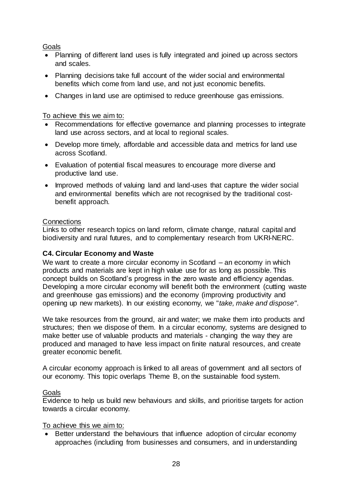# Goals

- Planning of different land uses is fully integrated and joined up across sectors and scales.
- Planning decisions take full account of the wider social and environmental benefits which come from land use, and not just economic benefits.
- Changes in land use are optimised to reduce greenhouse gas emissions.

# To achieve this we aim to:

- Recommendations for effective governance and planning processes to integrate land use across sectors, and at local to regional scales.
- Develop more timely, affordable and accessible data and metrics for land use across Scotland.
- Evaluation of potential fiscal measures to encourage more diverse and productive land use.
- Improved methods of valuing land and land-uses that capture the wider social and environmental benefits which are not recognised by the traditional costbenefit approach.

## **Connections**

Links to other research topics on land reform, climate change, natural capital and biodiversity and rural futures, and to complementary research from UKRI-NERC.

# **C4. Circular Economy and Waste**

We want to create a more circular economy in Scotland – an economy in which products and materials are kept in high value use for as long as possible. This concept builds on Scotland's progress in the zero waste and efficiency agendas. Developing a more circular economy will benefit both the environment (cutting waste and greenhouse gas emissions) and the economy (improving productivity and opening up new markets). In our existing economy, we "*take, make and dispose"*.

We take resources from the ground, air and water; we make them into products and structures; then we dispose of them. In a circular economy, systems are designed to make better use of valuable products and materials - changing the way they are produced and managed to have less impact on finite natural resources, and create greater economic benefit.

A circular economy approach is linked to all areas of government and all sectors of our economy. This topic overlaps Theme B, on the sustainable food system.

## **Goals**

Evidence to help us build new behaviours and skills, and prioritise targets for action towards a circular economy.

## To achieve this we aim to:

 Better understand the behaviours that influence adoption of circular economy approaches (including from businesses and consumers, and in understanding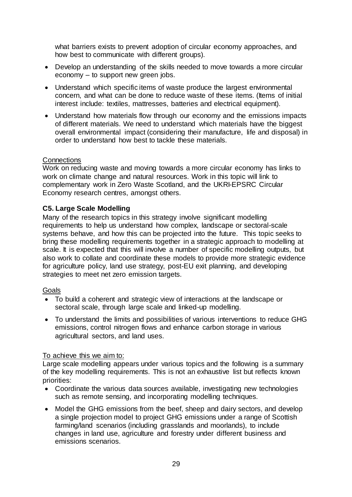what barriers exists to prevent adoption of circular economy approaches, and how best to communicate with different groups).

- Develop an understanding of the skills needed to move towards a more circular economy – to support new green jobs.
- Understand which specific items of waste produce the largest environmental concern, and what can be done to reduce waste of these items. (Items of initial interest include: textiles, mattresses, batteries and electrical equipment).
- Understand how materials flow through our economy and the emissions impacts of different materials. We need to understand which materials have the biggest overall environmental impact (considering their manufacture, life and disposal) in order to understand how best to tackle these materials.

## **Connections**

Work on reducing waste and moving towards a more circular economy has links to work on climate change and natural resources. Work in this topic will link to complementary work in Zero Waste Scotland, and the UKRI-EPSRC Circular Economy research centres, amongst others.

# **C5. Large Scale Modelling**

Many of the research topics in this strategy involve significant modelling requirements to help us understand how complex, landscape or sectoral-scale systems behave, and how this can be projected into the future. This topic seeks to bring these modelling requirements together in a strategic approach to modelling at scale. It is expected that this will involve a number of specific modelling outputs, but also work to collate and coordinate these models to provide more strategic evidence for agriculture policy, land use strategy, post-EU exit planning, and developing strategies to meet net zero emission targets.

## Goals

- To build a coherent and strategic view of interactions at the landscape or sectoral scale, through large scale and linked-up modelling.
- To understand the limits and possibilities of various interventions to reduce GHG emissions, control nitrogen flows and enhance carbon storage in various agricultural sectors, and land uses.

## To achieve this we aim to:

Large scale modelling appears under various topics and the following is a summary of the key modelling requirements. This is not an exhaustive list but reflects known priorities:

- Coordinate the various data sources available, investigating new technologies such as remote sensing, and incorporating modelling techniques.
- Model the GHG emissions from the beef, sheep and dairy sectors, and develop a single projection model to project GHG emissions under a range of Scottish farming/land scenarios (including grasslands and moorlands), to include changes in land use, agriculture and forestry under different business and emissions scenarios.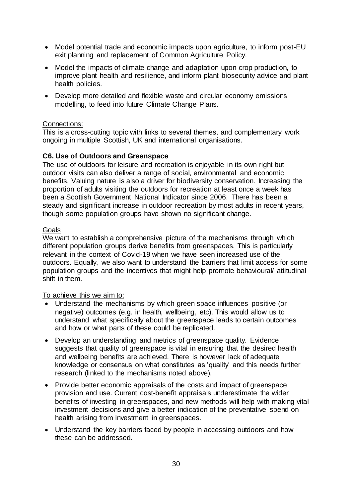- Model potential trade and economic impacts upon agriculture, to inform post-EU exit planning and replacement of Common Agriculture Policy.
- Model the impacts of climate change and adaptation upon crop production, to improve plant health and resilience, and inform plant biosecurity advice and plant health policies.
- Develop more detailed and flexible waste and circular economy emissions modelling, to feed into future Climate Change Plans.

# Connections:

This is a cross-cutting topic with links to several themes, and complementary work ongoing in multiple Scottish, UK and international organisations.

# **C6. Use of Outdoors and Greenspace**

The use of outdoors for leisure and recreation is enjoyable in its own right but outdoor visits can also deliver a range of social, environmental and economic benefits. Valuing nature is also a driver for biodiversity conservation. Increasing the proportion of adults visiting the outdoors for recreation at least once a week has been a Scottish Government National Indicator since 2006. There has been a steady and significant increase in outdoor recreation by most adults in recent years, though some population groups have shown no significant change.

# **Goals**

We want to establish a comprehensive picture of the mechanisms through which different population groups derive benefits from greenspaces. This is particularly relevant in the context of Covid-19 when we have seen increased use of the outdoors. Equally, we also want to understand the barriers that limit access for some population groups and the incentives that might help promote behavioural/ attitudinal shift in them.

To achieve this we aim to:

- Understand the mechanisms by which green space influences positive (or negative) outcomes (e.g. in health, wellbeing, etc). This would allow us to understand what specifically about the greenspace leads to certain outcomes and how or what parts of these could be replicated.
- Develop an understanding and metrics of greenspace quality. Evidence suggests that quality of greenspace is vital in ensuring that the desired health and wellbeing benefits are achieved. There is however lack of adequate knowledge or consensus on what constitutes as 'quality' and this needs further research (linked to the mechanisms noted above).
- Provide better economic appraisals of the costs and impact of greenspace provision and use. Current cost-benefit appraisals underestimate the wider benefits of investing in greenspaces, and new methods will help with making vital investment decisions and give a better indication of the preventative spend on health arising from investment in greenspaces.
- Understand the key barriers faced by people in accessing outdoors and how these can be addressed.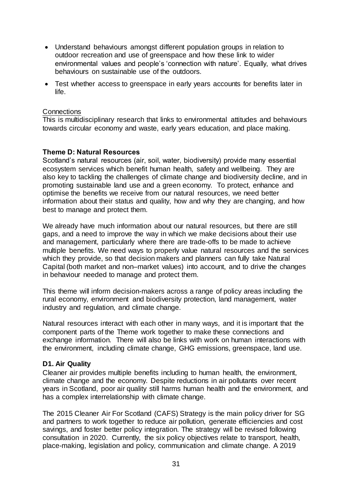- Understand behaviours amongst different population groups in relation to outdoor recreation and use of greenspace and how these link to wider environmental values and people's 'connection with nature'. Equally, what drives behaviours on sustainable use of the outdoors.
- Test whether access to greenspace in early years accounts for benefits later in life.

#### **Connections**

This is multidisciplinary research that links to environmental attitudes and behaviours towards circular economy and waste, early years education, and place making.

#### <span id="page-31-0"></span>**Theme D: Natural Resources**

Scotland's natural resources (air, soil, water, biodiversity) provide many essential ecosystem services which benefit human health, safety and wellbeing. They are also key to tackling the challenges of climate change and biodiversity decline, and in promoting sustainable land use and a green economy. To protect, enhance and optimise the benefits we receive from our natural resources, we need better information about their status and quality, how and why they are changing, and how best to manage and protect them.

We already have much information about our natural resources, but there are still gaps, and a need to improve the way in which we make decisions about their use and management, particularly where there are trade-offs to be made to achieve multiple benefits. We need ways to properly value natural resources and the services which they provide, so that decision makers and planners can fully take Natural Capital (both market and non–market values) into account, and to drive the changes in behaviour needed to manage and protect them.

This theme will inform decision-makers across a range of policy areas including the rural economy, environment and biodiversity protection, land management, water industry and regulation, and climate change.

Natural resources interact with each other in many ways, and it is important that the component parts of the Theme work together to make these connections and exchange information. There will also be links with work on human interactions with the environment, including climate change, GHG emissions, greenspace, land use.

#### **D1. Air Quality**

Cleaner air provides multiple benefits including to human health, the environment, climate change and the economy. Despite reductions in air pollutants over recent years in Scotland, poor air quality still harms human health and the environment, and has a complex interrelationship with climate change.

The 2015 Cleaner Air For Scotland (CAFS) Strategy is the main policy driver for SG and partners to work together to reduce air pollution, generate efficiencies and cost savings, and foster better policy integration. The strategy will be revised following consultation in 2020. Currently, the six policy objectives relate to transport, health, place-making, legislation and policy, communication and climate change. A 2019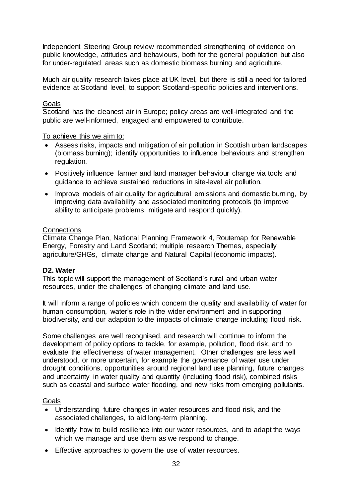Independent Steering Group review recommended strengthening of evidence on public knowledge, attitudes and behaviours, both for the general population but also for under-regulated areas such as domestic biomass burning and agriculture.

Much air quality research takes place at UK level, but there is still a need for tailored evidence at Scotland level, to support Scotland-specific policies and interventions.

#### Goals

Scotland has the cleanest air in Europe; policy areas are well-integrated and the public are well-informed, engaged and empowered to contribute.

To achieve this we aim to:

- Assess risks, impacts and mitigation of air pollution in Scottish urban landscapes (biomass burning); identify opportunities to influence behaviours and strengthen regulation.
- Positively influence farmer and land manager behaviour change via tools and guidance to achieve sustained reductions in site-level air pollution.
- Improve models of air quality for agricultural emissions and domestic burning, by improving data availability and associated monitoring protocols (to improve ability to anticipate problems, mitigate and respond quickly).

#### **Connections**

Climate Change Plan, National Planning Framework 4, Routemap for Renewable Energy, Forestry and Land Scotland; multiple research Themes, especially agriculture/GHGs, climate change and Natural Capital (economic impacts).

## **D2. Water**

This topic will support the management of Scotland's rural and urban water resources, under the challenges of changing climate and land use.

It will inform a range of policies which concern the quality and availability of water for human consumption, water's role in the wider environment and in supporting biodiversity, and our adaption to the impacts of climate change including flood risk.

Some challenges are well recognised, and research will continue to inform the development of policy options to tackle, for example, pollution, flood risk, and to evaluate the effectiveness of water management. Other challenges are less well understood, or more uncertain, for example the governance of water use under drought conditions, opportunities around regional land use planning, future changes and uncertainty in water quality and quantity (including flood risk), combined risks such as coastal and surface water flooding, and new risks from emerging pollutants.

## Goals

- Understanding future changes in water resources and flood risk, and the associated challenges, to aid long-term planning.
- Identify how to build resilience into our water resources, and to adapt the ways which we manage and use them as we respond to change.
- Effective approaches to govern the use of water resources.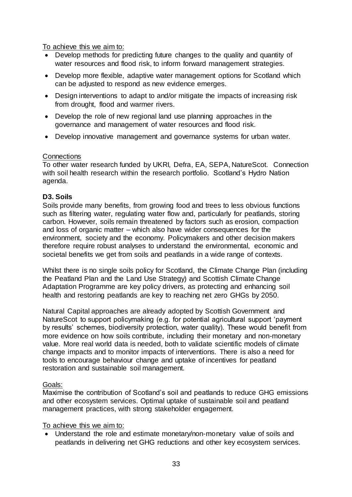To achieve this we aim to:

- Develop methods for predicting future changes to the quality and quantity of water resources and flood risk, to inform forward management strategies.
- Develop more flexible, adaptive water management options for Scotland which can be adjusted to respond as new evidence emerges.
- Design interventions to adapt to and/or mitigate the impacts of increasing risk from drought, flood and warmer rivers.
- Develop the role of new regional land use planning approaches in the governance and management of water resources and flood risk.
- Develop innovative management and governance systems for urban water.

## **Connections**

To other water research funded by UKRI, Defra, EA, SEPA, NatureScot. Connection with soil health research within the research portfolio. Scotland's Hydro Nation agenda.

## **D3. Soils**

Soils provide many benefits, from growing food and trees to less obvious functions such as filtering water, regulating water flow and, particularly for peatlands, storing carbon. However, soils remain threatened by factors such as erosion, compaction and loss of organic matter – which also have wider consequences for the environment, society and the economy. Policymakers and other decision makers therefore require robust analyses to understand the environmental, economic and societal benefits we get from soils and peatlands in a wide range of contexts.

Whilst there is no single soils policy for Scotland, the Climate Change Plan (including the Peatland Plan and the Land Use Strategy) and Scottish Climate Change Adaptation Programme are key policy drivers, as protecting and enhancing soil health and restoring peatlands are key to reaching net zero GHGs by 2050.

Natural Capital approaches are already adopted by Scottish Government and NatureScot to support policymaking (e.g. for potential agricultural support 'payment by results' schemes, biodiversity protection, water quality). These would benefit from more evidence on how soils contribute, including their monetary and non-monetary value. More real world data is needed, both to validate scientific models of climate change impacts and to monitor impacts of interventions. There is also a need for tools to encourage behaviour change and uptake of incentives for peatland restoration and sustainable soil management.

## Goals:

Maximise the contribution of Scotland's soil and peatlands to reduce GHG emissions and other ecosystem services. Optimal uptake of sustainable soil and peatland management practices, with strong stakeholder engagement.

To achieve this we aim to:

 Understand the role and estimate monetary/non-monetary value of soils and peatlands in delivering net GHG reductions and other key ecosystem services.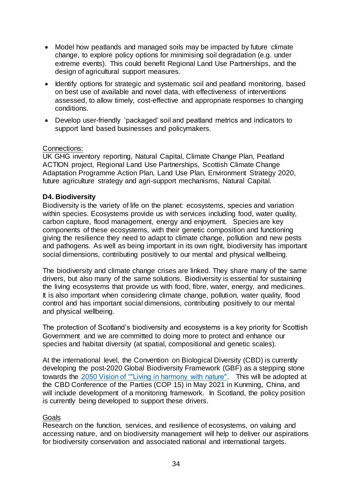- Model how peatlands and managed soils may be impacted by future climate change, to explore policy options for minimising soil degradation (e.g. under extreme events). This could benefit Regional Land Use Partnerships, and the design of agricultural support measures.
- Identify options for strategic and systematic soil and peatland monitoring, based on best use of available and novel data, with effectiveness of interventions assessed, to allow timely, cost-effective and appropriate responses to changing conditions.
- Develop user-friendly 'packaged' soil and peatland metrics and indicators to support land based businesses and policymakers.

## Connections:

UK GHG inventory reporting, Natural Capital, Climate Change Plan, Peatland ACTION project, Regional Land Use Partnerships, Scottish Climate Change Adaptation Programme Action Plan, Land Use Plan, Environment Strategy 2020, future agriculture strategy and agri-support mechanisms, Natural Capital.

#### **D4. Biodiversity**

Biodiversity is the variety of life on the planet: ecosystems, species and variation within species. Ecosystems provide us with services including food, water quality, carbon capture, flood management, energy and enjoyment. Species are key components of these ecosystems, with their genetic composition and functioning giving the resilience they need to adapt to climate change, pollution and new pests and pathogens. As well as being important in its own right, biodiversity has important social dimensions, contributing positively to our mental and physical wellbeing.

The biodiversity and climate change crises are linked. They share many of the same drivers, but also many of the same solutions. Biodiversity is essential for sustaining the living ecosystems that provide us with food, fibre, water, energy, and medicines. It is also important when considering climate change, pollution, water quality, flood control and has important social dimensions, contributing positively to our mental and physical wellbeing.

The protection of Scotland's biodiversity and ecosystems is a key priority for Scottish Government and we are committed to doing more to protect and enhance our species and habitat diversity (at spatial, compositional and genetic scales).

At the international level, the Convention on Biological Diversity (CBD) is currently developing the post-2020 Global Biodiversity Framework (GBF) as a stepping stone towards the [2050 Vision of ""Living in harmony with nature".](https://www.cbd.int/decision/cop/?id=12268) This will be adopted at the CBD Conference of the Parties (COP 15) in May 2021 in Kunming, China, and will include development of a monitoring framework. In Scotland, the policy position is currently being developed to support these drivers.

#### Goals

Research on the function, services, and resilience of ecosystems, on valuing and accessing nature, and on biodiversity management will help to deliver our aspirations for biodiversity conservation and associated national and international targets.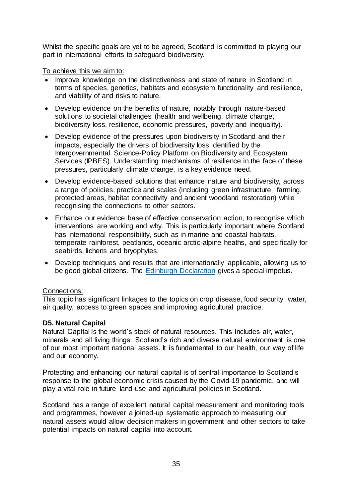Whilst the specific goals are yet to be agreed, Scotland is committed to playing our part in international efforts to safeguard biodiversity.

To achieve this we aim to:

- Improve knowledge on the distinctiveness and state of nature in Scotland in terms of species, genetics, habitats and ecosystem functionality and resilience, and viability of and risks to nature.
- Develop evidence on the benefits of nature, notably through nature-based solutions to societal challenges (health and wellbeing, climate change, biodiversity loss, resilience, economic pressures, poverty and inequality).
- Develop evidence of the pressures upon biodiversity in Scotland and their impacts, especially the drivers of biodiversity loss identified by the Intergovernmental Science-Policy Platform on Biodiversity and Ecosystem Services (IPBES). Understanding mechanisms of resilience in the face of these pressures, particularly climate change, is a key evidence need.
- Develop evidence-based solutions that enhance nature and biodiversity, across a range of policies, practice and scales (including green infrastructure, farming, protected areas, habitat connectivity and ancient woodland restoration) while recognising the connections to other sectors.
- Enhance our evidence base of effective conservation action, to recognise which interventions are working and why. This is particularly important where Scotland has international responsibility, such as in marine and coastal habitats, temperate rainforest, peatlands, oceanic arctic-alpine heaths, and specifically for seabirds, lichens and bryophytes.
- Develop techniques and results that are internationally applicable, allowing us to be good global citizens. The **Edinburgh Declaration** gives a special impetus.

# Connections:

This topic has significant linkages to the topics on crop disease, food security, water, air quality, access to green spaces and improving agricultural practice.

# **D5. Natural Capital**

Natural Capital is the world's stock of natural resources. This includes air, water, minerals and all living things. Scotland's rich and diverse natural environment is one of our most important national assets. It is fundamental to our health, our way of life and our economy.

Protecting and enhancing our natural capital is of central importance to Scotland's response to the global economic crisis caused by the Covid-19 pandemic, and will play a vital role in future land-use and agricultural policies in Scotland.

Scotland has a range of excellent natural capital measurement and monitoring tools and programmes, however a joined-up systematic approach to measuring our natural assets would allow decision makers in government and other sectors to take potential impacts on natural capital into account.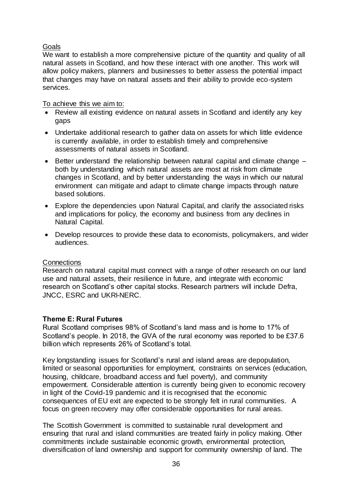# Goals

We want to establish a more comprehensive picture of the quantity and quality of all natural assets in Scotland, and how these interact with one another. This work will allow policy makers, planners and businesses to better assess the potential impact that changes may have on natural assets and their ability to provide eco-system services.

To achieve this we aim to:

- Review all existing evidence on natural assets in Scotland and identify any key gaps
- Undertake additional research to gather data on assets for which little evidence is currently available, in order to establish timely and comprehensive assessments of natural assets in Scotland.
- Better understand the relationship between natural capital and climate change both by understanding which natural assets are most at risk from climate changes in Scotland, and by better understanding the ways in which our natural environment can mitigate and adapt to climate change impacts through nature based solutions.
- Explore the dependencies upon Natural Capital, and clarify the associated risks and implications for policy, the economy and business from any declines in Natural Capital.
- Develop resources to provide these data to economists, policymakers, and wider audiences.

# **Connections**

Research on natural capital must connect with a range of other research on our land use and natural assets, their resilience in future, and integrate with economic research on Scotland's other capital stocks. Research partners will include Defra, JNCC, ESRC and UKRI-NERC.

# <span id="page-36-0"></span>**Theme E: Rural Futures**

Rural Scotland comprises 98% of Scotland's land mass and is home to 17% of Scotland's people. In 2018, the GVA of the rural economy was reported to be £37.6 billion which represents 26% of Scotland's total.

Key longstanding issues for Scotland's rural and island areas are depopulation, limited or seasonal opportunities for employment, constraints on services (education, housing, childcare, broadband access and fuel poverty), and community empowerment. Considerable attention is currently being given to economic recovery in light of the Covid-19 pandemic and it is recognised that the economic consequences of EU exit are expected to be strongly felt in rural communities. A focus on green recovery may offer considerable opportunities for rural areas.

The Scottish Government is committed to sustainable rural development and ensuring that rural and island communities are treated fairly in policy making. Other commitments include sustainable economic growth, environmental protection, diversification of land ownership and support for community ownership of land. The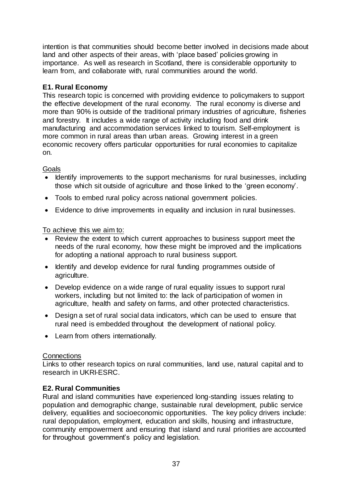intention is that communities should become better involved in decisions made about land and other aspects of their areas, with 'place based' policies growing in importance. As well as research in Scotland, there is considerable opportunity to learn from, and collaborate with, rural communities around the world.

# **E1. Rural Economy**

This research topic is concerned with providing evidence to policymakers to support the effective development of the rural economy. The rural economy is diverse and more than 90% is outside of the traditional primary industries of agriculture, fisheries and forestry. It includes a wide range of activity including food and drink manufacturing and accommodation services linked to tourism. Self-employment is more common in rural areas than urban areas. Growing interest in a green economic recovery offers particular opportunities for rural economies to capitalize on.

# **Goals**

- Identify improvements to the support mechanisms for rural businesses, including those which sit outside of agriculture and those linked to the 'green economy'.
- Tools to embed rural policy across national government policies.
- Evidence to drive improvements in equality and inclusion in rural businesses.

To achieve this we aim to:

- Review the extent to which current approaches to business support meet the needs of the rural economy, how these might be improved and the implications for adopting a national approach to rural business support.
- Identify and develop evidence for rural funding programmes outside of agriculture.
- Develop evidence on a wide range of rural equality issues to support rural workers, including but not limited to: the lack of participation of women in agriculture, health and safety on farms, and other protected characteristics.
- Design a set of rural social data indicators, which can be used to ensure that rural need is embedded throughout the development of national policy.
- Learn from others internationally.

# **Connections**

Links to other research topics on rural communities, land use, natural capital and to research in UKRI-ESRC.

# **E2. Rural Communities**

Rural and island communities have experienced long-standing issues relating to population and demographic change, sustainable rural development, public service delivery, equalities and socioeconomic opportunities. The key policy drivers include: rural depopulation, employment, education and skills, housing and infrastructure, community empowerment and ensuring that island and rural priorities are accounted for throughout government's policy and legislation.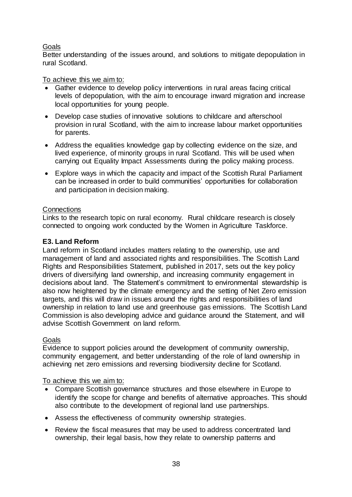# Goals

Better understanding of the issues around, and solutions to mitigate depopulation in rural Scotland.

## To achieve this we aim to:

- Gather evidence to develop policy interventions in rural areas facing critical levels of depopulation, with the aim to encourage inward migration and increase local opportunities for young people.
- Develop case studies of innovative solutions to childcare and afterschool provision in rural Scotland, with the aim to increase labour market opportunities for parents.
- Address the equalities knowledge gap by collecting evidence on the size, and lived experience, of minority groups in rural Scotland. This will be used when carrying out Equality Impact Assessments during the policy making process.
- Explore ways in which the capacity and impact of the Scottish Rural Parliament can be increased in order to build communities' opportunities for collaboration and participation in decision making.

## **Connections**

Links to the research topic on rural economy. Rural childcare research is closely connected to ongoing work conducted by the Women in Agriculture Taskforce.

# **E3. Land Reform**

Land reform in Scotland includes matters relating to the ownership, use and management of land and associated rights and responsibilities. The Scottish Land Rights and Responsibilities Statement, published in 2017, sets out the key policy drivers of diversifying land ownership, and increasing community engagement in decisions about land. The Statement's commitment to environmental stewardship is also now heightened by the climate emergency and the setting of Net Zero emission targets, and this will draw in issues around the rights and responsibilities of land ownership in relation to land use and greenhouse gas emissions. The Scottish Land Commission is also developing advice and guidance around the Statement, and will advise Scottish Government on land reform.

## Goals

Evidence to support policies around the development of community ownership, community engagement, and better understanding of the role of land ownership in achieving net zero emissions and reversing biodiversity decline for Scotland.

To achieve this we aim to:

- Compare Scottish governance structures and those elsewhere in Europe to identify the scope for change and benefits of alternative approaches. This should also contribute to the development of regional land use partnerships.
- Assess the effectiveness of community ownership strategies.
- Review the fiscal measures that may be used to address concentrated land ownership, their legal basis, how they relate to ownership patterns and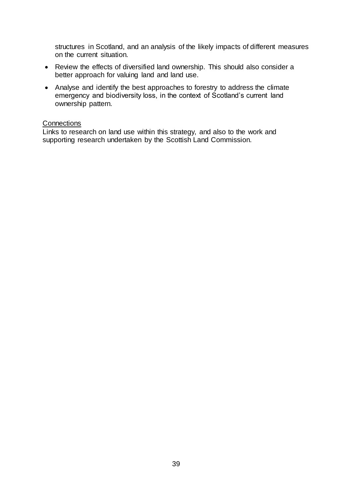structures in Scotland, and an analysis of the likely impacts of different measures on the current situation.

- Review the effects of diversified land ownership. This should also consider a better approach for valuing land and land use.
- Analyse and identify the best approaches to forestry to address the climate emergency and biodiversity loss, in the context of Scotland's current land ownership pattern.

#### **Connections**

Links to research on land use within this strategy, and also to the work and supporting research undertaken by the Scottish Land Commission.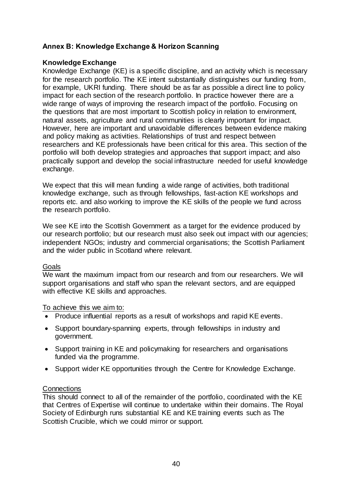# <span id="page-40-0"></span>**Annex B: Knowledge Exchange & Horizon Scanning**

## **Knowledge Exchange**

Knowledge Exchange (KE) is a specific discipline, and an activity which is necessary for the research portfolio. The KE intent substantially distinguishes our funding from, for example, UKRI funding. There should be as far as possible a direct line to policy impact for each section of the research portfolio. In practice however there are a wide range of ways of improving the research impact of the portfolio. Focusing on the questions that are most important to Scottish policy in relation to environment, natural assets, agriculture and rural communities is clearly important for impact. However, here are important and unavoidable differences between evidence making and policy making as activities. Relationships of trust and respect between researchers and KE professionals have been critical for this area. This section of the portfolio will both develop strategies and approaches that support impact; and also practically support and develop the social infrastructure needed for useful knowledge exchange.

We expect that this will mean funding a wide range of activities, both traditional knowledge exchange, such as through fellowships, fast-action KE workshops and reports etc. and also working to improve the KE skills of the people we fund across the research portfolio.

We see KE into the Scottish Government as a target for the evidence produced by our research portfolio; but our research must also seek out impact with our agencies; independent NGOs; industry and commercial organisations; the Scottish Parliament and the wider public in Scotland where relevant.

## Goals

We want the maximum impact from our research and from our researchers. We will support organisations and staff who span the relevant sectors, and are equipped with effective KE skills and approaches.

To achieve this we aim to:

- Produce influential reports as a result of workshops and rapid KE events.
- Support boundary-spanning experts, through fellowships in industry and government.
- Support training in KE and policymaking for researchers and organisations funded via the programme.
- Support wider KE opportunities through the Centre for Knowledge Exchange.

# **Connections**

This should connect to all of the remainder of the portfolio, coordinated with the KE that Centres of Expertise will continue to undertake within their domains. The Royal Society of Edinburgh runs substantial KE and KE training events such as The Scottish Crucible, which we could mirror or support.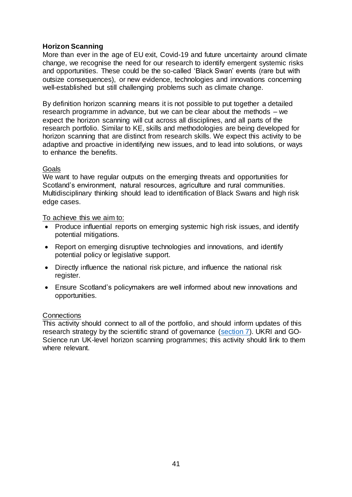# **Horizon Scanning**

More than ever in the age of EU exit, Covid-19 and future uncertainty around climate change, we recognise the need for our research to identify emergent systemic risks and opportunities. These could be the so-called 'Black Swan' events (rare but with outsize consequences), or new evidence, technologies and innovations concerning well-established but still challenging problems such as climate change.

By definition horizon scanning means it is not possible to put together a detailed research programme in advance, but we can be clear about the methods – we expect the horizon scanning will cut across all disciplines, and all parts of the research portfolio. Similar to KE, skills and methodologies are being developed for horizon scanning that are distinct from research skills. We expect this activity to be adaptive and proactive in identifying new issues, and to lead into solutions, or ways to enhance the benefits.

## **Goals**

We want to have regular outputs on the emerging threats and opportunities for Scotland's environment, natural resources, agriculture and rural communities. Multidisciplinary thinking should lead to identification of Black Swans and high risk edge cases.

To achieve this we aim to:

- Produce influential reports on emerging systemic high risk issues, and identify potential mitigations.
- Report on emerging disruptive technologies and innovations, and identify potential policy or legislative support.
- Directly influence the national risk picture, and influence the national risk register.
- Ensure Scotland's policymakers are well informed about new innovations and opportunities.

#### **Connections**

This activity should connect to all of the portfolio, and should inform updates of this research strategy by the scientific strand of governance [\(section 7\)](#page-14-0). UKRI and GO-Science run UK-level horizon scanning programmes; this activity should link to them where relevant.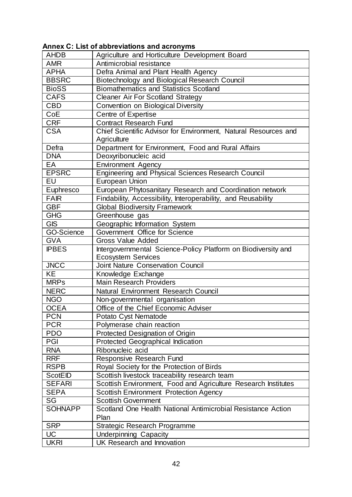# <span id="page-42-0"></span>**Annex C: List of abbreviations and acronyms**

| <b>AHDB</b>       | Agriculture and Horticulture Development Board                                             |  |  |
|-------------------|--------------------------------------------------------------------------------------------|--|--|
| AMR               | Antimicrobial resistance                                                                   |  |  |
| <b>APHA</b>       | Defra Animal and Plant Health Agency                                                       |  |  |
| <b>BBSRC</b>      | Biotechnology and Biological Research Council                                              |  |  |
| <b>BioSS</b>      | <b>Biomathematics and Statistics Scotland</b>                                              |  |  |
| <b>CAFS</b>       | <b>Cleaner Air For Scotland Strategy</b>                                                   |  |  |
| CBD               | Convention on Biological Diversity                                                         |  |  |
| CoE               | Centre of Expertise                                                                        |  |  |
| <b>CRF</b>        | <b>Contract Research Fund</b>                                                              |  |  |
| <b>CSA</b>        | Chief Scientific Advisor for Environment, Natural Resources and<br>Agriculture             |  |  |
| Defra             | Department for Environment, Food and Rural Affairs                                         |  |  |
| <b>DNA</b>        | Deoxyribonucleic acid                                                                      |  |  |
| EA                | <b>Environment Agency</b>                                                                  |  |  |
| <b>EPSRC</b>      | Engineering and Physical Sciences Research Council                                         |  |  |
| EU                | <b>European Union</b>                                                                      |  |  |
| Euphresco         | European Phytosanitary Research and Coordination network                                   |  |  |
| <b>FAIR</b>       | Findability, Accessibility, Interoperability, and Reusability                              |  |  |
| <b>GBF</b>        | <b>Global Biodiversity Framework</b>                                                       |  |  |
| GHG               | Greenhouse gas                                                                             |  |  |
| <b>GIS</b>        | Geographic Information System                                                              |  |  |
| <b>GO-Science</b> | Government Office for Science                                                              |  |  |
| <b>GVA</b>        | <b>Gross Value Added</b>                                                                   |  |  |
| <b>IPBES</b>      | Intergovernmental Science-Policy Platform on Biodiversity and<br><b>Ecosystem Services</b> |  |  |
| <b>JNCC</b>       | <b>Joint Nature Conservation Council</b>                                                   |  |  |
| <b>KE</b>         | Knowledge Exchange                                                                         |  |  |
| <b>MRPs</b>       | <b>Main Research Providers</b>                                                             |  |  |
| <b>NERC</b>       | Natural Environment Research Council                                                       |  |  |
| <b>NGO</b>        | Non-governmental organisation                                                              |  |  |
| <b>OCEA</b>       | Office of the Chief Economic Adviser                                                       |  |  |
| <b>PCN</b>        | Potato Cyst Nematode                                                                       |  |  |
| <b>PCR</b>        | Polymerase chain reaction                                                                  |  |  |
| <b>PDO</b>        | Protected Designation of Origin                                                            |  |  |
| PGI               | <b>Protected Geographical Indication</b>                                                   |  |  |
| <b>RNA</b>        | Ribonucleic acid                                                                           |  |  |
| <b>RRF</b>        | Responsive Research Fund                                                                   |  |  |
| <b>RSPB</b>       | Royal Society for the Protection of Birds                                                  |  |  |
| <b>ScotEID</b>    | Scottish livestock traceability research team                                              |  |  |
| <b>SEFARI</b>     | Scottish Environment, Food and Agriculture Research Institutes                             |  |  |
| <b>SEPA</b>       | <b>Scottish Environment Protection Agency</b>                                              |  |  |
| SG                | <b>Scottish Government</b>                                                                 |  |  |
| <b>SOHNAPP</b>    | Scotland One Health National Antimicrobial Resistance Action                               |  |  |
|                   | Plan                                                                                       |  |  |
| <b>SRP</b>        | <b>Strategic Research Programme</b>                                                        |  |  |
| UC                | <b>Underpinning Capacity</b>                                                               |  |  |
| <b>UKRI</b>       | UK Research and Innovation                                                                 |  |  |
|                   |                                                                                            |  |  |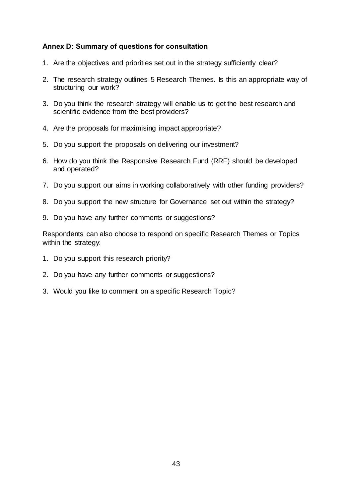# <span id="page-43-0"></span>**Annex D: Summary of questions for consultation**

- 1. Are the objectives and priorities set out in the strategy sufficiently clear?
- 2. The research strategy outlines 5 Research Themes. Is this an appropriate way of structuring our work?
- 3. Do you think the research strategy will enable us to get the best research and scientific evidence from the best providers?
- 4. Are the proposals for maximising impact appropriate?
- 5. Do you support the proposals on delivering our investment?
- 6. How do you think the Responsive Research Fund (RRF) should be developed and operated?
- 7. Do you support our aims in working collaboratively with other funding providers?
- 8. Do you support the new structure for Governance set out within the strategy?
- 9. Do you have any further comments or suggestions?

Respondents can also choose to respond on specific Research Themes or Topics within the strategy:

- 1. Do you support this research priority?
- 2. Do you have any further comments or suggestions?
- 3. Would you like to comment on a specific Research Topic?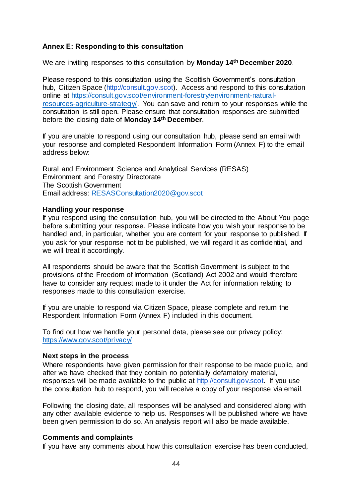# <span id="page-44-0"></span>**Annex E: Responding to this consultation**

We are inviting responses to this consultation by **Monday 14th December 2020**.

Please respond to this consultation using the Scottish Government's consultation hub, Citizen Space [\(http://consult.gov.scot\).](http://consult.gov.scot/) Access and respond to this consultation online at [https://consult.gov.scot/environment-forestry/environment-natural](https://consult.gov.scot/environment-forestry/environment-natural-resources-agriculture-strategy/)[resources-agriculture-strategy/.](https://consult.gov.scot/environment-forestry/environment-natural-resources-agriculture-strategy/) You can save and return to your responses while the consultation is still open. Please ensure that consultation responses are submitted before the closing date of **Monday 14th December**.

If you are unable to respond using our consultation hub, please send an email with your response and completed Respondent Information Form (Annex F) to the email address below:

Rural and Environment Science and Analytical Services (RESAS) Environment and Forestry Directorate The Scottish Government Email address: [RESASConsultation2020@gov.scot](mailto:RESASConsultation2020@gov.scot)

#### **Handling your response**

If you respond using the consultation hub, you will be directed to the About You page before submitting your response. Please indicate how you wish your response to be handled and, in particular, whether you are content for your response to published. If you ask for your response not to be published, we will regard it as confidential, and we will treat it accordingly.

All respondents should be aware that the Scottish Government is subject to the provisions of the Freedom of Information (Scotland) Act 2002 and would therefore have to consider any request made to it under the Act for information relating to responses made to this consultation exercise.

If you are unable to respond via Citizen Space, please complete and return the Respondent Information Form (Annex F) included in this document.

To find out how we handle your personal data, please see our privacy policy: <https://www.gov.scot/privacy/>

#### **Next steps in the process**

Where respondents have given permission for their response to be made public, and after we have checked that they contain no potentially defamatory material, responses will be made available to the public at [http://consult.gov.scot.](http://consult.gov.scot/) If you use the consultation hub to respond, you will receive a copy of your response via email.

Following the closing date, all responses will be analysed and considered along with any other available evidence to help us. Responses will be published where we have been given permission to do so. An analysis report will also be made available.

## **Comments and complaints**

If you have any comments about how this consultation exercise has been conducted,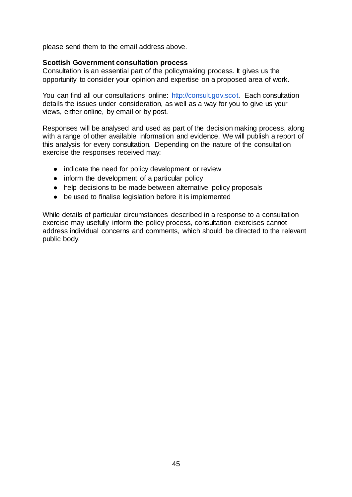please send them to the email address above.

#### **Scottish Government consultation process**

Consultation is an essential part of the policymaking process. It gives us the opportunity to consider your opinion and expertise on a proposed area of work.

You can find all our consultations online: [http://consult.gov.scot.](http://consult.gov.scot/) Each consultation details the issues under consideration, as well as a way for you to give us your views, either online, by email or by post.

Responses will be analysed and used as part of the decision making process, along with a range of other available information and evidence. We will publish a report of this analysis for every consultation. Depending on the nature of the consultation exercise the responses received may:

- indicate the need for policy development or review
- inform the development of a particular policy
- help decisions to be made between alternative policy proposals
- be used to finalise legislation before it is implemented

While details of particular circumstances described in a response to a consultation exercise may usefully inform the policy process, consultation exercises cannot address individual concerns and comments, which should be directed to the relevant public body.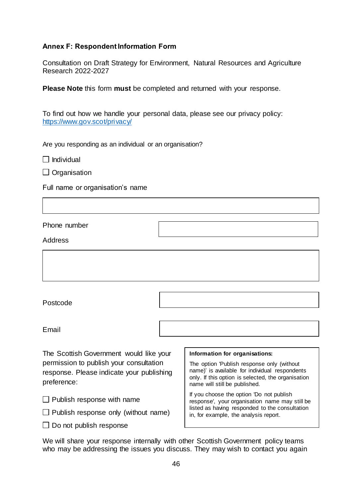# <span id="page-46-0"></span>**Annex F: Respondent Information Form**

Consultation on Draft Strategy for Environment, Natural Resources and Agriculture Research 2022-2027

**Please Note** this form **must** be completed and returned with your response.

To find out how we handle your personal data, please see our privacy policy: <https://www.gov.scot/privacy/>

Are you responding as an individual or an organisation?

 $\Box$ Individual

 $\Box$  Organisation

Full name or organisation's name

Phone number

Address

Postcode

Email

The Scottish Government would like your permission to publish your consultation response. Please indicate your publishing preference:

 $\Box$  Publish response with name

 $\Box$  Publish response only (without name)

 $\Box$  Do not publish response

#### **Information for organisations:**

The option 'Publish response only (without name)' is available for individual respondents only. If this option is selected, the organisation name will still be published.

If you choose the option 'Do not publish response', your organisation name may still be listed as having responded to the consultation in, for example, the analysis report.

We will share your response internally with other Scottish Government policy teams who may be addressing the issues you discuss. They may wish to contact you again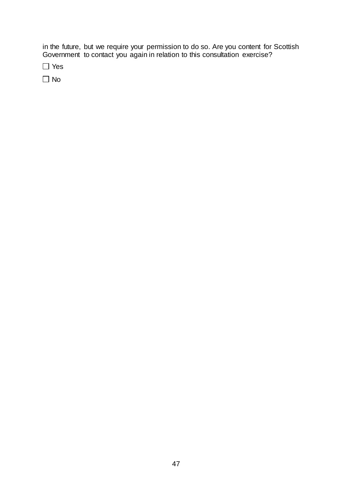in the future, but we require your permission to do so. Are you content for Scottish Government to contact you again in relation to this consultation exercise?

Yes

 $\Box$  No